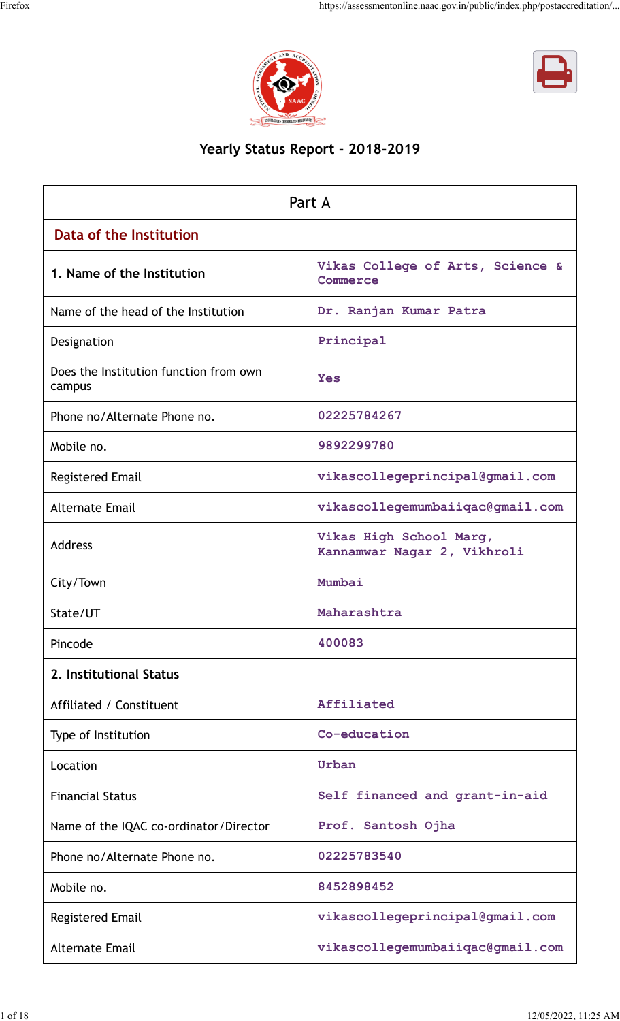



# **Yearly Status Report - 2018-2019**

|                                                  | Part A                                                 |
|--------------------------------------------------|--------------------------------------------------------|
| Data of the Institution                          |                                                        |
| 1. Name of the Institution                       | Vikas College of Arts, Science &<br>Commerce           |
| Name of the head of the Institution              | Dr. Ranjan Kumar Patra                                 |
| Designation                                      | Principal                                              |
| Does the Institution function from own<br>campus | <b>Yes</b>                                             |
| Phone no/Alternate Phone no.                     | 02225784267                                            |
| Mobile no.                                       | 9892299780                                             |
| <b>Registered Email</b>                          | vikascollegeprincipal@gmail.com                        |
| <b>Alternate Email</b>                           | vikascollegemumbaiiqac@gmail.com                       |
| <b>Address</b>                                   | Vikas High School Marg,<br>Kannamwar Nagar 2, Vikhroli |
| City/Town                                        | Mumbai                                                 |
| State/UT                                         | Maharashtra                                            |
| Pincode                                          | 400083                                                 |
| 2. Institutional Status                          |                                                        |
| Affiliated / Constituent                         | Affiliated                                             |
| Type of Institution                              | Co-education                                           |
| Location                                         | Urban                                                  |
| <b>Financial Status</b>                          | Self financed and grant-in-aid                         |
| Name of the IQAC co-ordinator/Director           | Prof. Santosh Ojha                                     |
| Phone no/Alternate Phone no.                     | 02225783540                                            |
| Mobile no.                                       | 8452898452                                             |
| <b>Registered Email</b>                          | vikascollegeprincipal@gmail.com                        |
| <b>Alternate Email</b>                           | vikascollegemumbaiiqac@gmail.com                       |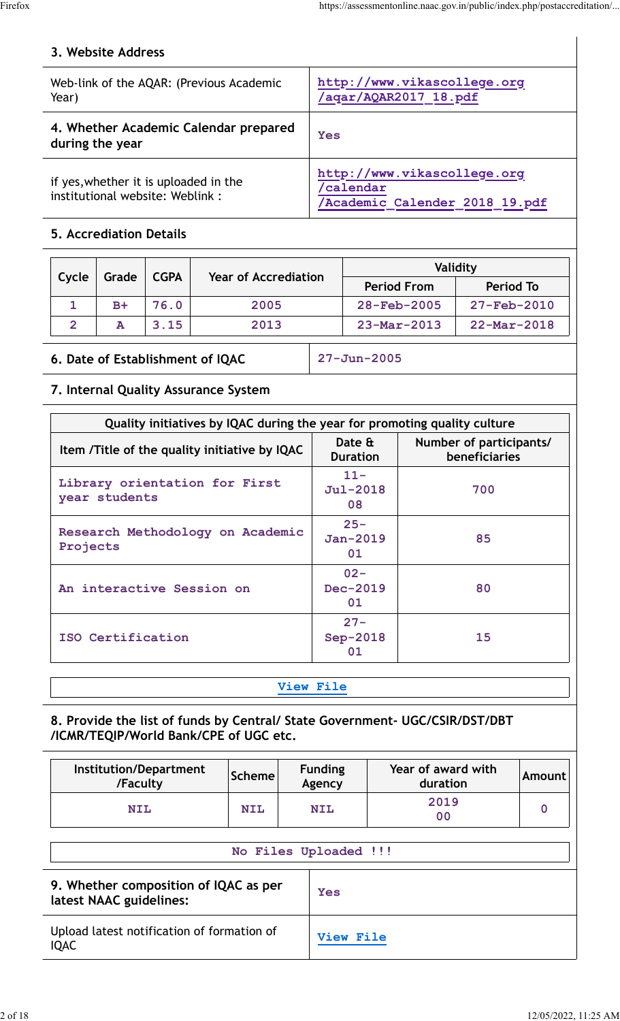## **3. Website Address**

| Web-link of the AQAR: (Previous Academic<br>Year)                         | http://www.vikascollege.org<br>/aqar/AQAR2017 18.pdf                      |
|---------------------------------------------------------------------------|---------------------------------------------------------------------------|
| 4. Whether Academic Calendar prepared<br>during the year                  | Yes                                                                       |
| if yes, whether it is uploaded in the<br>institutional website: Weblink : | http://www.vikascollege.org<br>'calendar<br>Academic Calender 2018 19.pdf |

#### **5. Accrediation Details**

| Cycle | Grade | <b>CGPA</b> | <b>Year of Accrediation</b> |                          | Validity                 |
|-------|-------|-------------|-----------------------------|--------------------------|--------------------------|
|       |       |             |                             | <b>Period From</b>       | Period To                |
|       | $B+$  | 76.0        | 2005                        | $28 - \text{Feb} - 2005$ | $27 - \text{Feb} - 2010$ |
| 2     |       | 3.15        | 2013                        | $23 - Mar - 2013$        | $22 - \text{Mar} - 2018$ |

#### **6. Date of Establishment of IQAC 27-Jun-2005**

#### **7. Internal Quality Assurance System**

| Quality initiatives by IQAC during the year for promoting quality culture |                           |                                          |
|---------------------------------------------------------------------------|---------------------------|------------------------------------------|
| Item /Title of the quality initiative by IQAC                             | Date &<br><b>Duration</b> | Number of participants/<br>beneficiaries |
| Library orientation for First<br>year students                            | $11 -$<br>Jul-2018<br>08  | 700                                      |
| Research Methodology on Academic<br>Projects                              | $25 -$<br>Jan-2019<br>01  | 85                                       |
| An interactive Session on                                                 | $02 -$<br>Dec-2019<br>01  | 80                                       |
| ISO Certification                                                         | $27 -$<br>Sep-2018<br>01  | 15                                       |

#### **[View File](https://assessmentonline.naac.gov.in/public/Postacc/Quality_Initiatives/21128_Quality_Initiatives.pdf)**

#### **8. Provide the list of funds by Central/ State Government- UGC/CSIR/DST/DBT /ICMR/TEQIP/World Bank/CPE of UGC etc.**

| Institution/Department<br>/Faculty                               | <b>Scheme</b> | <b>Funding</b><br>Agency | Year of award with<br>duration | Amount      |
|------------------------------------------------------------------|---------------|--------------------------|--------------------------------|-------------|
| <b>NIL</b>                                                       | <b>NIL</b>    | <b>NIL</b>               | 2019<br>00                     | $\mathbf 0$ |
|                                                                  |               | No Files Uploaded !!!    |                                |             |
| 9. Whether composition of IQAC as per<br>latest NAAC guidelines: |               | <b>Yes</b>               |                                |             |
| Upload latest notification of formation of<br><b>IQAC</b>        |               | <b>View File</b>         |                                |             |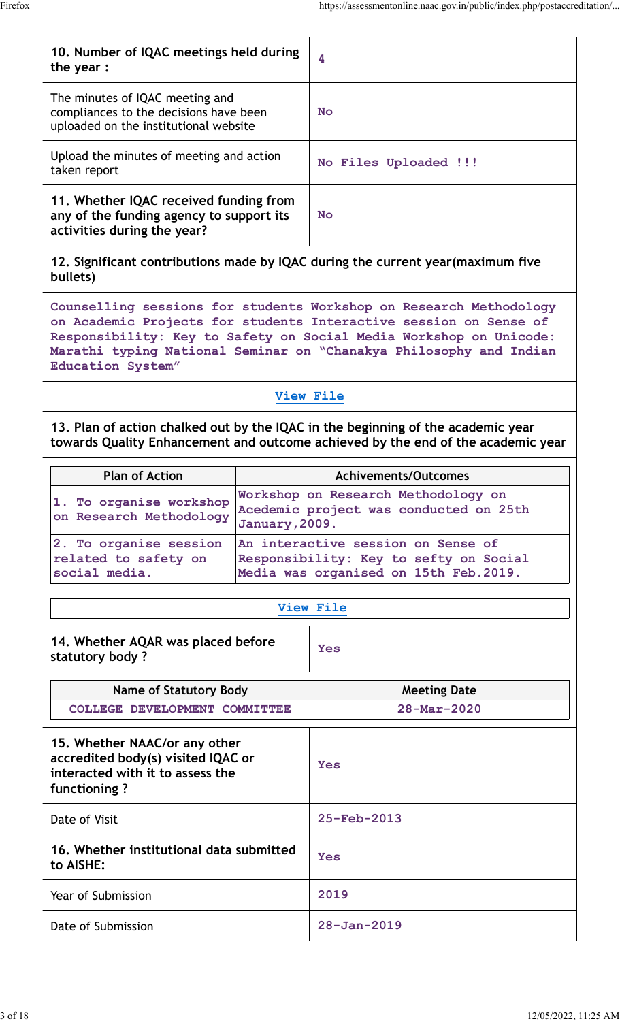| 10. Number of IQAC meetings held during<br>the year $:$                                                            | 4                     |
|--------------------------------------------------------------------------------------------------------------------|-----------------------|
| The minutes of IQAC meeting and<br>compliances to the decisions have been<br>uploaded on the institutional website | <b>No</b>             |
| Upload the minutes of meeting and action<br>taken report                                                           | No Files Uploaded !!! |
| 11. Whether IQAC received funding from<br>any of the funding agency to support its<br>activities during the year?  | <b>No</b>             |

**12. Significant contributions made by IQAC during the current year(maximum five bullets)**

**Counselling sessions for students Workshop on Research Methodology on Academic Projects for students Interactive session on Sense of Responsibility: Key to Safety on Social Media Workshop on Unicode: Marathi typing National Seminar on "Chanakya Philosophy and Indian Education System"**

#### **[View File](https://assessmentonline.naac.gov.in/public/Postacc/Contribution/21128_Contribution.xlsx)**

**13. Plan of action chalked out by the IQAC in the beginning of the academic year towards Quality Enhancement and outcome achieved by the end of the academic year**

| <b>Plan of Action</b>                                           | <b>Achivements/Outcomes</b>                                                                                           |
|-----------------------------------------------------------------|-----------------------------------------------------------------------------------------------------------------------|
| 1. To organise workshop<br>on Research Methodology              | Workshop on Research Methodology on<br>Acedemic project was conducted on 25th<br>January, 2009.                       |
| 2. To organise session<br>related to safety on<br>social media. | An interactive session on Sense of<br>Responsibility: Key to sefty on Social<br>Media was organised on 15th Feb.2019. |

#### **[View File](https://assessmentonline.naac.gov.in/public/Postacc/Quality/21128_Quality.xlsx)**

| 14. Whether AQAR was placed before<br>statutory body?                                                                   | Yes                      |
|-------------------------------------------------------------------------------------------------------------------------|--------------------------|
| Name of Statutory Body                                                                                                  | <b>Meeting Date</b>      |
| COLLEGE DEVELOPMENT COMMITTEE                                                                                           | $28 - \text{Mar} - 2020$ |
| 15. Whether NAAC/or any other<br>accredited body(s) visited IQAC or<br>interacted with it to assess the<br>functioning? | Yes                      |
| Date of Visit                                                                                                           | $25 - \text{Feh} - 2013$ |
| 16. Whether institutional data submitted<br>to AISHE:                                                                   | Yes                      |
| Year of Submission                                                                                                      | 2019                     |
| Date of Submission                                                                                                      | $28 - Jan - 2019$        |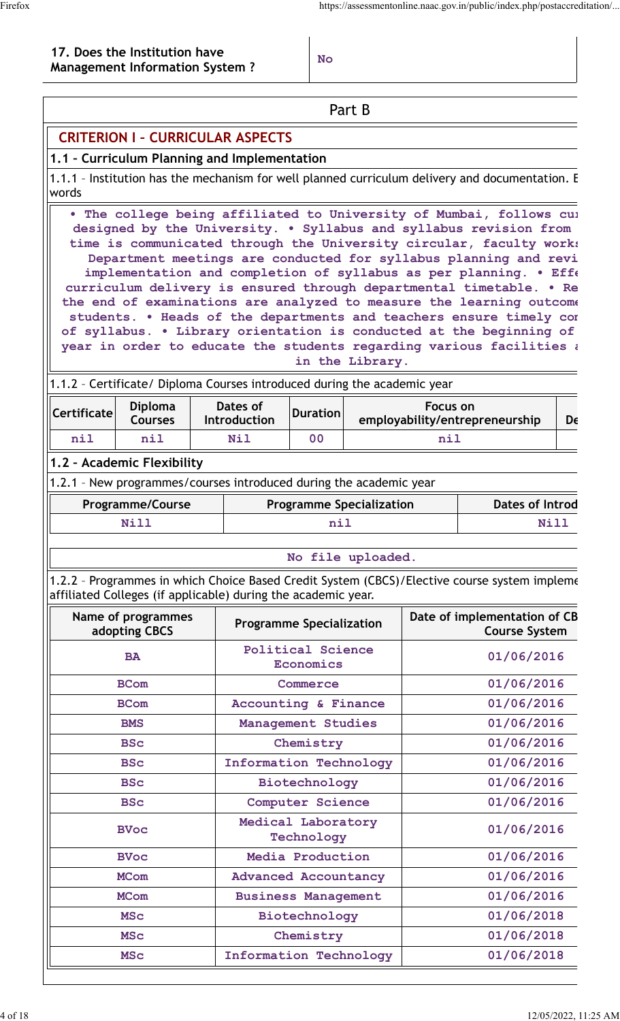#### **17. Does the Institution have Management Information System ? No**

|                    |                                                                    |                                 |                                                                                                                                           | Part B                          |            |                                                                                                                                                                                                                                                                                                                                                                                                                                                                                                                                                                                                                                                                                                                              |    |
|--------------------|--------------------------------------------------------------------|---------------------------------|-------------------------------------------------------------------------------------------------------------------------------------------|---------------------------------|------------|------------------------------------------------------------------------------------------------------------------------------------------------------------------------------------------------------------------------------------------------------------------------------------------------------------------------------------------------------------------------------------------------------------------------------------------------------------------------------------------------------------------------------------------------------------------------------------------------------------------------------------------------------------------------------------------------------------------------------|----|
|                    | <b>CRITERION I - CURRICULAR ASPECTS</b>                            |                                 |                                                                                                                                           |                                 |            |                                                                                                                                                                                                                                                                                                                                                                                                                                                                                                                                                                                                                                                                                                                              |    |
|                    | 1.1 - Curriculum Planning and Implementation                       |                                 |                                                                                                                                           |                                 |            |                                                                                                                                                                                                                                                                                                                                                                                                                                                                                                                                                                                                                                                                                                                              |    |
| words              |                                                                    |                                 |                                                                                                                                           |                                 |            | 1.1.1 - Institution has the mechanism for well planned curriculum delivery and documentation. E                                                                                                                                                                                                                                                                                                                                                                                                                                                                                                                                                                                                                              |    |
|                    |                                                                    |                                 |                                                                                                                                           | in the Library.                 |            | . The college being affiliated to University of Mumbai, follows cul<br>designed by the University. . Syllabus and syllabus revision from<br>time is communicated through the University circular, faculty works<br>Department meetings are conducted for syllabus planning and revi<br>implementation and completion of syllabus as per planning. . Eff<br>curriculum delivery is ensured through departmental timetable. . Re<br>the end of examinations are analyzed to measure the learning outcome<br>students. . Heads of the departments and teachers ensure timely con<br>of syllabus. . Library orientation is conducted at the beginning of<br>year in order to educate the students regarding various facilities a |    |
| <b>Certificate</b> | <b>Diploma</b><br><b>Courses</b>                                   | Dates of<br>Introduction        | 1.1.2 - Certificate/ Diploma Courses introduced during the academic year<br>Focus on<br><b>Duration</b><br>employability/entrepreneurship |                                 |            |                                                                                                                                                                                                                                                                                                                                                                                                                                                                                                                                                                                                                                                                                                                              | De |
| nil                | nil                                                                | <b>Nil</b>                      | 00<br>nil                                                                                                                                 |                                 |            |                                                                                                                                                                                                                                                                                                                                                                                                                                                                                                                                                                                                                                                                                                                              |    |
|                    | 1.2 - Academic Flexibility                                         |                                 |                                                                                                                                           |                                 |            |                                                                                                                                                                                                                                                                                                                                                                                                                                                                                                                                                                                                                                                                                                                              |    |
|                    | 1.2.1 - New programmes/courses introduced during the academic year |                                 |                                                                                                                                           |                                 |            |                                                                                                                                                                                                                                                                                                                                                                                                                                                                                                                                                                                                                                                                                                                              |    |
|                    | <b>Programme/Course</b>                                            |                                 |                                                                                                                                           | <b>Programme Specialization</b> |            | <b>Dates of Introd</b>                                                                                                                                                                                                                                                                                                                                                                                                                                                                                                                                                                                                                                                                                                       |    |
|                    | <b>Nill</b>                                                        |                                 | nil                                                                                                                                       |                                 |            | Nill                                                                                                                                                                                                                                                                                                                                                                                                                                                                                                                                                                                                                                                                                                                         |    |
|                    |                                                                    |                                 |                                                                                                                                           |                                 |            |                                                                                                                                                                                                                                                                                                                                                                                                                                                                                                                                                                                                                                                                                                                              |    |
|                    |                                                                    |                                 |                                                                                                                                           | No file uploaded.               |            |                                                                                                                                                                                                                                                                                                                                                                                                                                                                                                                                                                                                                                                                                                                              |    |
|                    | affiliated Colleges (if applicable) during the academic year.      |                                 |                                                                                                                                           |                                 |            | 1.2.2 - Programmes in which Choice Based Credit System (CBCS)/Elective course system impleme                                                                                                                                                                                                                                                                                                                                                                                                                                                                                                                                                                                                                                 |    |
|                    | Name of programmes<br>adopting CBCS                                | <b>Programme Specialization</b> |                                                                                                                                           |                                 |            | Date of implementation of CB<br><b>Course System</b>                                                                                                                                                                                                                                                                                                                                                                                                                                                                                                                                                                                                                                                                         |    |
|                    | <b>BA</b>                                                          |                                 | <b>Political Science</b><br><b>Economics</b>                                                                                              |                                 | 01/06/2016 |                                                                                                                                                                                                                                                                                                                                                                                                                                                                                                                                                                                                                                                                                                                              |    |
|                    | <b>BCom</b>                                                        |                                 | Commerce                                                                                                                                  |                                 |            | 01/06/2016                                                                                                                                                                                                                                                                                                                                                                                                                                                                                                                                                                                                                                                                                                                   |    |
|                    | <b>BCom</b>                                                        | Accounting & Finance            |                                                                                                                                           |                                 |            | 01/06/2016                                                                                                                                                                                                                                                                                                                                                                                                                                                                                                                                                                                                                                                                                                                   |    |
|                    | <b>BMS</b>                                                         |                                 | Management Studies                                                                                                                        |                                 |            | 01/06/2016                                                                                                                                                                                                                                                                                                                                                                                                                                                                                                                                                                                                                                                                                                                   |    |
|                    | <b>BSc</b>                                                         |                                 | Chemistry                                                                                                                                 |                                 |            | 01/06/2016                                                                                                                                                                                                                                                                                                                                                                                                                                                                                                                                                                                                                                                                                                                   |    |
|                    | <b>BSc</b>                                                         | <b>Information Technology</b>   |                                                                                                                                           |                                 |            | 01/06/2016                                                                                                                                                                                                                                                                                                                                                                                                                                                                                                                                                                                                                                                                                                                   |    |
|                    | <b>BSc</b>                                                         |                                 | Biotechnology                                                                                                                             |                                 |            | 01/06/2016                                                                                                                                                                                                                                                                                                                                                                                                                                                                                                                                                                                                                                                                                                                   |    |
|                    | <b>BSc</b>                                                         |                                 | <b>Computer Science</b>                                                                                                                   |                                 |            | 01/06/2016                                                                                                                                                                                                                                                                                                                                                                                                                                                                                                                                                                                                                                                                                                                   |    |
|                    | <b>BVoc</b>                                                        |                                 | Medical Laboratory<br>Technology                                                                                                          |                                 |            | 01/06/2016                                                                                                                                                                                                                                                                                                                                                                                                                                                                                                                                                                                                                                                                                                                   |    |
|                    | <b>BVoc</b>                                                        |                                 | Media Production                                                                                                                          |                                 |            | 01/06/2016                                                                                                                                                                                                                                                                                                                                                                                                                                                                                                                                                                                                                                                                                                                   |    |
|                    | <b>MCom</b>                                                        | <b>Advanced Accountancy</b>     |                                                                                                                                           |                                 |            | 01/06/2016                                                                                                                                                                                                                                                                                                                                                                                                                                                                                                                                                                                                                                                                                                                   |    |
|                    | <b>MCom</b>                                                        | <b>Business Management</b>      |                                                                                                                                           |                                 |            | 01/06/2016                                                                                                                                                                                                                                                                                                                                                                                                                                                                                                                                                                                                                                                                                                                   |    |
|                    | <b>MSC</b>                                                         |                                 | Biotechnology                                                                                                                             |                                 |            | 01/06/2018                                                                                                                                                                                                                                                                                                                                                                                                                                                                                                                                                                                                                                                                                                                   |    |
|                    | <b>MSC</b>                                                         |                                 | Chemistry                                                                                                                                 |                                 |            | 01/06/2018                                                                                                                                                                                                                                                                                                                                                                                                                                                                                                                                                                                                                                                                                                                   |    |
|                    | <b>MSC</b>                                                         | <b>Information Technology</b>   |                                                                                                                                           |                                 |            | 01/06/2018                                                                                                                                                                                                                                                                                                                                                                                                                                                                                                                                                                                                                                                                                                                   |    |

Ξ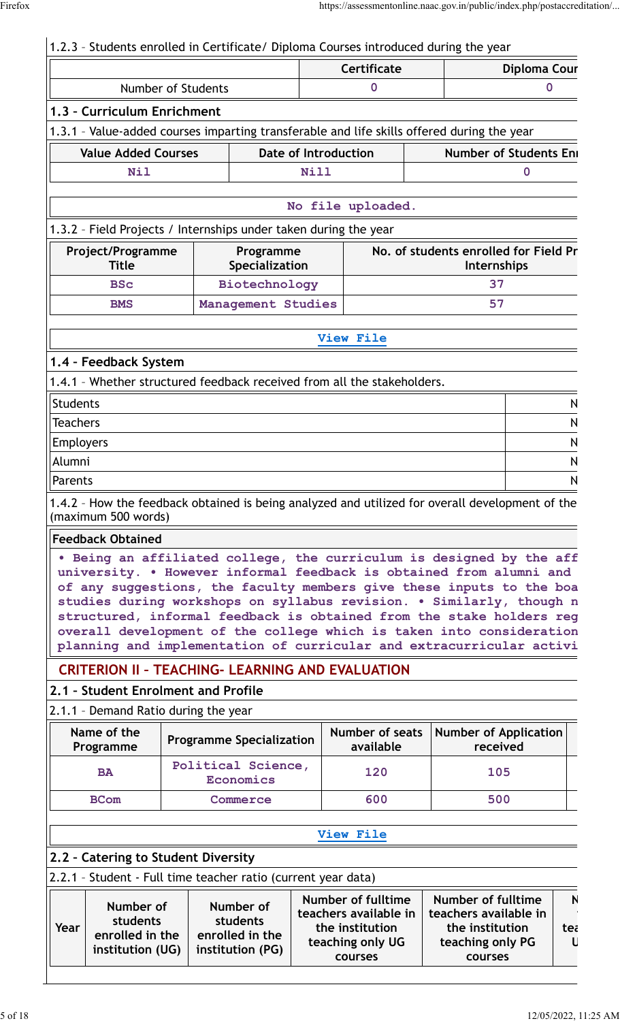# 1.2.3 – Students enrolled in Certificate/ Diploma Courses introduced during the year

|                                                                                                      |                    | <b>Certificate</b><br><b>Diploma Cour</b> |             |                                                         |  |                                                                                                                                                                                                                                                                                                                                                                                                                                             |        |
|------------------------------------------------------------------------------------------------------|--------------------|-------------------------------------------|-------------|---------------------------------------------------------|--|---------------------------------------------------------------------------------------------------------------------------------------------------------------------------------------------------------------------------------------------------------------------------------------------------------------------------------------------------------------------------------------------------------------------------------------------|--------|
|                                                                                                      | Number of Students |                                           |             |                                                         |  | 0                                                                                                                                                                                                                                                                                                                                                                                                                                           |        |
| 1.3 - Curriculum Enrichment                                                                          |                    |                                           |             |                                                         |  |                                                                                                                                                                                                                                                                                                                                                                                                                                             |        |
|                                                                                                      |                    |                                           |             |                                                         |  | 1.3.1 - Value-added courses imparting transferable and life skills offered during the year                                                                                                                                                                                                                                                                                                                                                  |        |
| <b>Value Added Courses</b>                                                                           |                    |                                           |             | <b>Date of Introduction</b>                             |  | <b>Number of Students Eni</b>                                                                                                                                                                                                                                                                                                                                                                                                               |        |
| <b>Nil</b>                                                                                           |                    |                                           | <b>Nill</b> |                                                         |  | 0                                                                                                                                                                                                                                                                                                                                                                                                                                           |        |
|                                                                                                      |                    |                                           |             |                                                         |  |                                                                                                                                                                                                                                                                                                                                                                                                                                             |        |
|                                                                                                      |                    |                                           |             | No file uploaded.                                       |  |                                                                                                                                                                                                                                                                                                                                                                                                                                             |        |
| 1.3.2 - Field Projects / Internships under taken during the year                                     |                    |                                           |             |                                                         |  |                                                                                                                                                                                                                                                                                                                                                                                                                                             |        |
| Project/Programme<br><b>Title</b>                                                                    |                    | Programme<br><b>Specialization</b>        |             |                                                         |  | No. of students enrolled for Field Pr<br>Internships                                                                                                                                                                                                                                                                                                                                                                                        |        |
| <b>BSc</b>                                                                                           |                    | Biotechnology                             |             |                                                         |  | 37                                                                                                                                                                                                                                                                                                                                                                                                                                          |        |
| <b>BMS</b>                                                                                           |                    | Management Studies                        |             |                                                         |  | 57                                                                                                                                                                                                                                                                                                                                                                                                                                          |        |
|                                                                                                      |                    |                                           |             | View File                                               |  |                                                                                                                                                                                                                                                                                                                                                                                                                                             |        |
|                                                                                                      |                    |                                           |             |                                                         |  |                                                                                                                                                                                                                                                                                                                                                                                                                                             |        |
| 1.4 - Feedback System                                                                                |                    |                                           |             |                                                         |  |                                                                                                                                                                                                                                                                                                                                                                                                                                             |        |
| 1.4.1 - Whether structured feedback received from all the stakeholders.                              |                    |                                           |             |                                                         |  |                                                                                                                                                                                                                                                                                                                                                                                                                                             |        |
| <b>Students</b>                                                                                      |                    |                                           |             |                                                         |  |                                                                                                                                                                                                                                                                                                                                                                                                                                             | N      |
| <b>Teachers</b>                                                                                      |                    |                                           |             |                                                         |  |                                                                                                                                                                                                                                                                                                                                                                                                                                             | N      |
| Employers<br>Alumni                                                                                  |                    |                                           |             |                                                         |  |                                                                                                                                                                                                                                                                                                                                                                                                                                             | N      |
| Parents                                                                                              |                    |                                           |             |                                                         |  |                                                                                                                                                                                                                                                                                                                                                                                                                                             | N<br>N |
|                                                                                                      |                    |                                           |             |                                                         |  |                                                                                                                                                                                                                                                                                                                                                                                                                                             |        |
| (maximum 500 words)<br><b>Feedback Obtained</b>                                                      |                    |                                           |             |                                                         |  | 1.4.2 - How the feedback obtained is being analyzed and utilized for overall development of the                                                                                                                                                                                                                                                                                                                                             |        |
|                                                                                                      |                    |                                           |             |                                                         |  | . Being an affiliated college, the curriculum is designed by the aff<br>university. . However informal feedback is obtained from alumni and<br>of any suggestions, the faculty members give these inputs to the boa<br>studies during workshops on syllabus revision. . Similarly, though n<br>structured, informal feedback is obtained from the stake holders reg<br>overall development of the college which is taken into consideration |        |
|                                                                                                      |                    |                                           |             |                                                         |  | planning and implementation of curricular and extracurricular activi                                                                                                                                                                                                                                                                                                                                                                        |        |
|                                                                                                      |                    |                                           |             | <b>CRITERION II - TEACHING- LEARNING AND EVALUATION</b> |  |                                                                                                                                                                                                                                                                                                                                                                                                                                             |        |
| 2.1 - Student Enrolment and Profile                                                                  |                    |                                           |             |                                                         |  |                                                                                                                                                                                                                                                                                                                                                                                                                                             |        |
| 2.1.1 - Demand Ratio during the year                                                                 |                    |                                           |             |                                                         |  |                                                                                                                                                                                                                                                                                                                                                                                                                                             |        |
| Name of the                                                                                          |                    | <b>Programme Specialization</b>           |             | Number of seats                                         |  | <b>Number of Application</b><br>received                                                                                                                                                                                                                                                                                                                                                                                                    |        |
| Programme<br><b>BA</b>                                                                               |                    | Political Science,<br><b>Economics</b>    |             | available<br>120                                        |  | 105                                                                                                                                                                                                                                                                                                                                                                                                                                         |        |
| <b>BCom</b>                                                                                          |                    | Commerce                                  |             | 600                                                     |  | 500                                                                                                                                                                                                                                                                                                                                                                                                                                         |        |
|                                                                                                      |                    |                                           |             |                                                         |  |                                                                                                                                                                                                                                                                                                                                                                                                                                             |        |
|                                                                                                      |                    |                                           |             | View File                                               |  |                                                                                                                                                                                                                                                                                                                                                                                                                                             |        |
|                                                                                                      |                    |                                           |             |                                                         |  |                                                                                                                                                                                                                                                                                                                                                                                                                                             |        |
| 2.2 - Catering to Student Diversity<br>2.2.1 - Student - Full time teacher ratio (current year data) |                    |                                           |             |                                                         |  |                                                                                                                                                                                                                                                                                                                                                                                                                                             |        |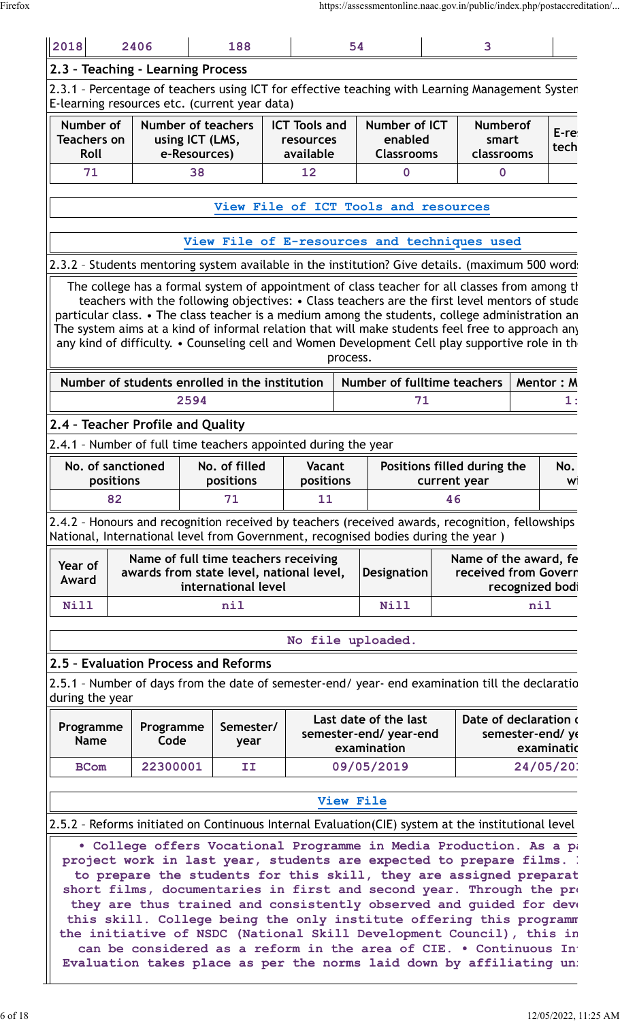| 2018                                                                                                                                                                                 | 2406                                                                                                                                     |                                 | 188                                                         |                                                |    | 54       |                                                                                                                                                                                                                                                                                                                                                                                                                                                                                                          |                                        | 3                                             |              |                               |
|--------------------------------------------------------------------------------------------------------------------------------------------------------------------------------------|------------------------------------------------------------------------------------------------------------------------------------------|---------------------------------|-------------------------------------------------------------|------------------------------------------------|----|----------|----------------------------------------------------------------------------------------------------------------------------------------------------------------------------------------------------------------------------------------------------------------------------------------------------------------------------------------------------------------------------------------------------------------------------------------------------------------------------------------------------------|----------------------------------------|-----------------------------------------------|--------------|-------------------------------|
| 2.3 - Teaching - Learning Process                                                                                                                                                    |                                                                                                                                          |                                 |                                                             |                                                |    |          |                                                                                                                                                                                                                                                                                                                                                                                                                                                                                                          |                                        |                                               |              |                               |
| 2.3.1 - Percentage of teachers using ICT for effective teaching with Learning Management Systen<br>E-learning resources etc. (current year data)                                     |                                                                                                                                          |                                 |                                                             |                                                |    |          |                                                                                                                                                                                                                                                                                                                                                                                                                                                                                                          |                                        |                                               |              |                               |
| Number of<br><b>Teachers on</b><br>Roll                                                                                                                                              |                                                                                                                                          | using ICT (LMS,<br>e-Resources) | <b>Number of teachers</b>                                   | <b>ICT Tools and</b><br>resources<br>available |    |          | Number of ICT<br>enabled<br><b>Classrooms</b>                                                                                                                                                                                                                                                                                                                                                                                                                                                            | <b>Numberof</b><br>smart<br>classrooms |                                               | E-re<br>tech |                               |
| 71                                                                                                                                                                                   |                                                                                                                                          | 38                              |                                                             |                                                | 12 |          | $\mathbf 0$                                                                                                                                                                                                                                                                                                                                                                                                                                                                                              |                                        | $\mathbf 0$                                   |              |                               |
|                                                                                                                                                                                      |                                                                                                                                          |                                 |                                                             |                                                |    |          |                                                                                                                                                                                                                                                                                                                                                                                                                                                                                                          |                                        |                                               |              |                               |
|                                                                                                                                                                                      |                                                                                                                                          |                                 |                                                             |                                                |    |          | View File of ICT Tools and resources                                                                                                                                                                                                                                                                                                                                                                                                                                                                     |                                        |                                               |              |                               |
|                                                                                                                                                                                      |                                                                                                                                          |                                 |                                                             |                                                |    |          | View File of E-resources and techniques used                                                                                                                                                                                                                                                                                                                                                                                                                                                             |                                        |                                               |              |                               |
| 2.3.2 - Students mentoring system available in the institution? Give details. (maximum 500 word:                                                                                     |                                                                                                                                          |                                 |                                                             |                                                |    |          |                                                                                                                                                                                                                                                                                                                                                                                                                                                                                                          |                                        |                                               |              |                               |
|                                                                                                                                                                                      |                                                                                                                                          |                                 |                                                             |                                                |    | process. | The college has a formal system of appointment of class teacher for all classes from among the<br>teachers with the following objectives: • Class teachers are the first level mentors of stude<br>particular class. • The class teacher is a medium among the students, college administration an<br>The system aims at a kind of informal relation that will make students feel free to approach an<br>any kind of difficulty. • Counseling cell and Women Development Cell play supportive role in th |                                        |                                               |              |                               |
| Number of students enrolled in the institution                                                                                                                                       |                                                                                                                                          |                                 |                                                             |                                                |    |          | Number of fulltime teachers                                                                                                                                                                                                                                                                                                                                                                                                                                                                              |                                        |                                               |              | Mentor: M                     |
|                                                                                                                                                                                      |                                                                                                                                          | 2594                            |                                                             |                                                |    |          | 71                                                                                                                                                                                                                                                                                                                                                                                                                                                                                                       |                                        |                                               |              | 1:                            |
| 2.4 - Teacher Profile and Quality                                                                                                                                                    |                                                                                                                                          |                                 |                                                             |                                                |    |          |                                                                                                                                                                                                                                                                                                                                                                                                                                                                                                          |                                        |                                               |              |                               |
| 2.4.1 - Number of full time teachers appointed during the year                                                                                                                       |                                                                                                                                          |                                 |                                                             |                                                |    |          |                                                                                                                                                                                                                                                                                                                                                                                                                                                                                                          |                                        |                                               |              |                               |
| positions                                                                                                                                                                            | No. of sanctioned<br>No. of filled<br><b>Vacant</b><br>Positions filled during the<br>No.<br>positions<br>positions<br>current year<br>W |                                 |                                                             |                                                |    |          |                                                                                                                                                                                                                                                                                                                                                                                                                                                                                                          |                                        |                                               |              |                               |
| 82                                                                                                                                                                                   |                                                                                                                                          |                                 | 71                                                          |                                                | 11 |          |                                                                                                                                                                                                                                                                                                                                                                                                                                                                                                          | 46                                     |                                               |              |                               |
| 2.4.2 - Honours and recognition received by teachers (received awards, recognition, fellowships<br>National, International level from Government, recognised bodies during the year) |                                                                                                                                          |                                 |                                                             |                                                |    |          |                                                                                                                                                                                                                                                                                                                                                                                                                                                                                                          |                                        |                                               |              |                               |
| Year of<br>Award                                                                                                                                                                     | awards from state level, national level,                                                                                                 |                                 | Name of full time teachers receiving<br>international level |                                                |    |          | Designation                                                                                                                                                                                                                                                                                                                                                                                                                                                                                              |                                        | Name of the award, fe<br>received from Goverr |              | recognized bod                |
| <b>Nill</b>                                                                                                                                                                          |                                                                                                                                          |                                 | nil                                                         |                                                |    |          | <b>Nill</b>                                                                                                                                                                                                                                                                                                                                                                                                                                                                                              |                                        | nil                                           |              |                               |
|                                                                                                                                                                                      |                                                                                                                                          |                                 |                                                             |                                                |    |          |                                                                                                                                                                                                                                                                                                                                                                                                                                                                                                          |                                        |                                               |              |                               |
|                                                                                                                                                                                      |                                                                                                                                          |                                 |                                                             |                                                |    |          | No file uploaded.                                                                                                                                                                                                                                                                                                                                                                                                                                                                                        |                                        |                                               |              |                               |
| 2.5 - Evaluation Process and Reforms<br>2.5.1 - Number of days from the date of semester-end/ year- end examination till the declaratio<br>during the year                           |                                                                                                                                          |                                 |                                                             |                                                |    |          |                                                                                                                                                                                                                                                                                                                                                                                                                                                                                                          |                                        |                                               |              |                               |
| Programme<br><b>Name</b>                                                                                                                                                             | Programme<br>Code                                                                                                                        |                                 | Semester/<br>year                                           |                                                |    |          | Last date of the last<br>semester-end/ year-end<br>examination                                                                                                                                                                                                                                                                                                                                                                                                                                           |                                        | Date of declaration                           |              | semester-end/yo<br>examinatic |
| <b>BCom</b>                                                                                                                                                                          | 22300001                                                                                                                                 |                                 | II                                                          |                                                |    |          | 09/05/2019                                                                                                                                                                                                                                                                                                                                                                                                                                                                                               |                                        |                                               |              | 24/05/20                      |
|                                                                                                                                                                                      |                                                                                                                                          |                                 |                                                             |                                                |    |          |                                                                                                                                                                                                                                                                                                                                                                                                                                                                                                          |                                        |                                               |              |                               |
|                                                                                                                                                                                      |                                                                                                                                          |                                 |                                                             |                                                |    |          | View File                                                                                                                                                                                                                                                                                                                                                                                                                                                                                                |                                        |                                               |              |                               |
|                                                                                                                                                                                      |                                                                                                                                          |                                 |                                                             |                                                |    |          |                                                                                                                                                                                                                                                                                                                                                                                                                                                                                                          |                                        |                                               |              |                               |
| 2.5.2 - Reforms initiated on Continuous Internal Evaluation(CIE) system at the institutional level                                                                                   |                                                                                                                                          |                                 |                                                             |                                                |    |          | . College offers Vocational Programme in Media Production. As a part                                                                                                                                                                                                                                                                                                                                                                                                                                     |                                        |                                               |              |                               |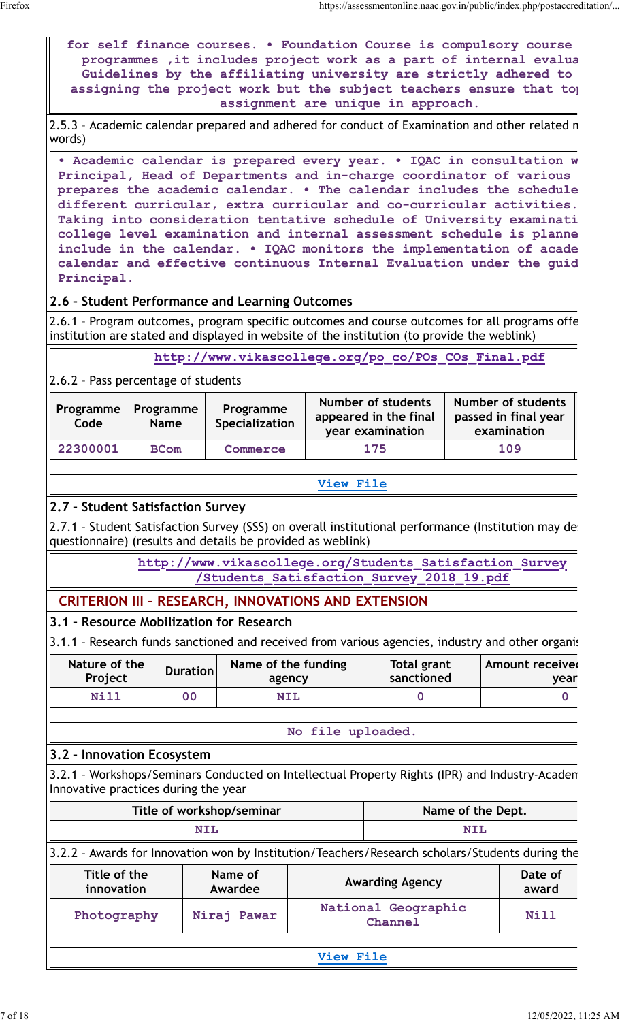|                                      |                          |                 | for self finance courses. . Foundation Course is compulsory course<br>programmes , it includes project work as a part of internal evalua<br>Guidelines by the affiliating university are strictly adhered to<br>assigning the project work but the subject teachers ensure that to                                                                                                                                                                                                                                                                                                          |                   | assignment are unique in approach.                              |                   |                                                           |
|--------------------------------------|--------------------------|-----------------|---------------------------------------------------------------------------------------------------------------------------------------------------------------------------------------------------------------------------------------------------------------------------------------------------------------------------------------------------------------------------------------------------------------------------------------------------------------------------------------------------------------------------------------------------------------------------------------------|-------------------|-----------------------------------------------------------------|-------------------|-----------------------------------------------------------|
| words)                               |                          |                 | 2.5.3 - Academic calendar prepared and adhered for conduct of Examination and other related n                                                                                                                                                                                                                                                                                                                                                                                                                                                                                               |                   |                                                                 |                   |                                                           |
| Principal.                           |                          |                 | • Academic calendar is prepared every year. • IQAC in consultation w<br>Principal, Head of Departments and in-charge coordinator of various<br>prepares the academic calendar. . The calendar includes the schedule<br>different curricular, extra curricular and co-curricular activities.<br>Taking into consideration tentative schedule of University examinati<br>college level examination and internal assessment schedule is planne<br>include in the calendar. . IQAC monitors the implementation of acade<br>calendar and effective continuous Internal Evaluation under the guid |                   |                                                                 |                   |                                                           |
|                                      |                          |                 | 2.6 - Student Performance and Learning Outcomes                                                                                                                                                                                                                                                                                                                                                                                                                                                                                                                                             |                   |                                                                 |                   |                                                           |
|                                      |                          |                 | 2.6.1 - Program outcomes, program specific outcomes and course outcomes for all programs offe<br>institution are stated and displayed in website of the institution (to provide the weblink)                                                                                                                                                                                                                                                                                                                                                                                                |                   |                                                                 |                   |                                                           |
|                                      |                          |                 | http://www.vikascollege.org/po co/POs COs Final.pdf                                                                                                                                                                                                                                                                                                                                                                                                                                                                                                                                         |                   |                                                                 |                   |                                                           |
| 2.6.2 - Pass percentage of students  |                          |                 |                                                                                                                                                                                                                                                                                                                                                                                                                                                                                                                                                                                             |                   |                                                                 |                   |                                                           |
| Programme<br>Code                    | Programme<br><b>Name</b> |                 | Programme<br><b>Specialization</b>                                                                                                                                                                                                                                                                                                                                                                                                                                                                                                                                                          |                   | Number of students<br>appeared in the final<br>year examination |                   | Number of students<br>passed in final year<br>examination |
| 22300001                             | <b>BCom</b>              |                 | Commerce                                                                                                                                                                                                                                                                                                                                                                                                                                                                                                                                                                                    |                   | 175                                                             |                   | 109                                                       |
| 2.7 - Student Satisfaction Survey    |                          |                 | 2.7.1 - Student Satisfaction Survey (SSS) on overall institutional performance (Institution may de                                                                                                                                                                                                                                                                                                                                                                                                                                                                                          | <b>View File</b>  |                                                                 |                   |                                                           |
|                                      |                          |                 | questionnaire) (results and details be provided as weblink)<br>http://www.vikascollege.org/Students Satisfaction Survey<br>Students Satisfaction Survey 2018 19.pdf                                                                                                                                                                                                                                                                                                                                                                                                                         |                   |                                                                 |                   |                                                           |
|                                      |                          |                 | <b>CRITERION III - RESEARCH, INNOVATIONS AND EXTENSION</b>                                                                                                                                                                                                                                                                                                                                                                                                                                                                                                                                  |                   |                                                                 |                   |                                                           |
|                                      |                          |                 | 3.1 - Resource Mobilization for Research                                                                                                                                                                                                                                                                                                                                                                                                                                                                                                                                                    |                   |                                                                 |                   |                                                           |
| Nature of the                        |                          |                 | 3.1.1 - Research funds sanctioned and received from various agencies, industry and other organi:                                                                                                                                                                                                                                                                                                                                                                                                                                                                                            |                   |                                                                 |                   | <b>Amount received</b>                                    |
| Project                              |                          | <b>Duration</b> | Name of the funding<br>agency                                                                                                                                                                                                                                                                                                                                                                                                                                                                                                                                                               |                   | <b>Total grant</b><br>sanctioned                                |                   | year                                                      |
| Nill                                 |                          | 0 <sub>0</sub>  | <b>NIL</b>                                                                                                                                                                                                                                                                                                                                                                                                                                                                                                                                                                                  |                   | $\mathbf 0$                                                     |                   | $\mathbf 0$                                               |
|                                      |                          |                 |                                                                                                                                                                                                                                                                                                                                                                                                                                                                                                                                                                                             | No file uploaded. |                                                                 |                   |                                                           |
| 3.2 - Innovation Ecosystem           |                          |                 |                                                                                                                                                                                                                                                                                                                                                                                                                                                                                                                                                                                             |                   |                                                                 |                   |                                                           |
| Innovative practices during the year |                          |                 | 3.2.1 - Workshops/Seminars Conducted on Intellectual Property Rights (IPR) and Industry-Academ                                                                                                                                                                                                                                                                                                                                                                                                                                                                                              |                   |                                                                 |                   |                                                           |
|                                      |                          |                 | Title of workshop/seminar                                                                                                                                                                                                                                                                                                                                                                                                                                                                                                                                                                   |                   |                                                                 | Name of the Dept. |                                                           |
|                                      |                          | <b>NIL</b>      |                                                                                                                                                                                                                                                                                                                                                                                                                                                                                                                                                                                             |                   |                                                                 | <b>NIL</b>        |                                                           |
|                                      |                          |                 | 3.2.2 - Awards for Innovation won by Institution/Teachers/Research scholars/Students during the                                                                                                                                                                                                                                                                                                                                                                                                                                                                                             |                   |                                                                 |                   |                                                           |
|                                      |                          |                 | Name of                                                                                                                                                                                                                                                                                                                                                                                                                                                                                                                                                                                     |                   | <b>Awarding Agency</b>                                          |                   | Date of<br>award                                          |
| Title of the<br>innovation           |                          |                 | Awardee                                                                                                                                                                                                                                                                                                                                                                                                                                                                                                                                                                                     |                   |                                                                 |                   |                                                           |
| Photography                          |                          |                 | Niraj Pawar                                                                                                                                                                                                                                                                                                                                                                                                                                                                                                                                                                                 |                   | National Geographic<br>Channel                                  |                   | Nill                                                      |
|                                      |                          |                 |                                                                                                                                                                                                                                                                                                                                                                                                                                                                                                                                                                                             |                   |                                                                 |                   |                                                           |
|                                      |                          |                 |                                                                                                                                                                                                                                                                                                                                                                                                                                                                                                                                                                                             | View File         |                                                                 |                   |                                                           |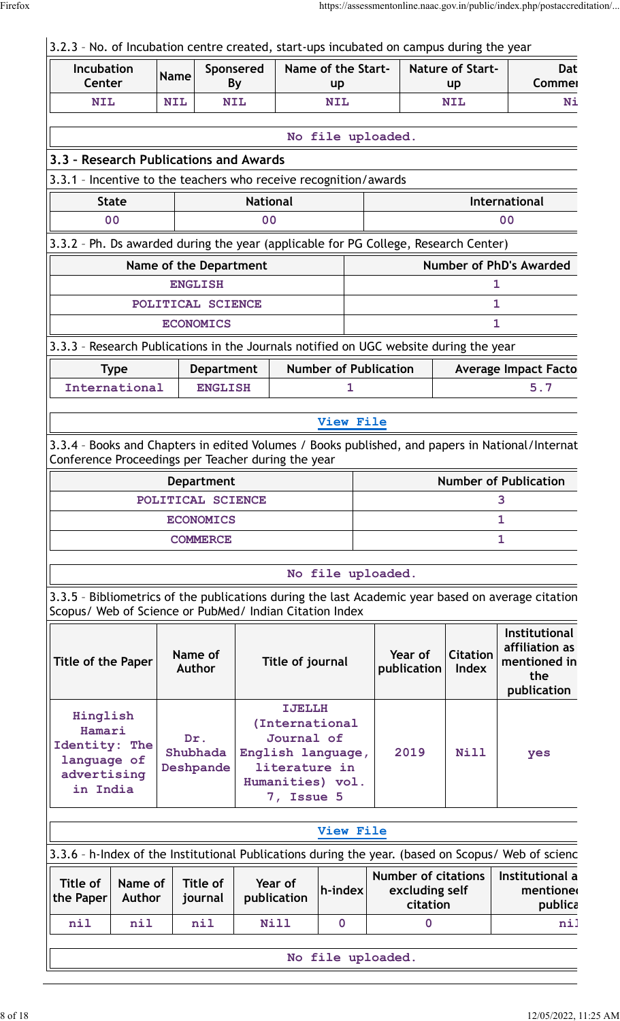# $3.2.3$  - No. of Incubation centre created, start-ups incubated on campus during the year

| <b>Incubation</b><br>Center                                                           |                          | <b>Name</b> |                              | Sponsered<br>By |                                                            | Name of the Start-<br><b>up</b>                         |                                                          | <b>Nature of Start-</b><br><b>up</b> | Dat<br>Commer                                                                                      |
|---------------------------------------------------------------------------------------|--------------------------|-------------|------------------------------|-----------------|------------------------------------------------------------|---------------------------------------------------------|----------------------------------------------------------|--------------------------------------|----------------------------------------------------------------------------------------------------|
| <b>NIL</b>                                                                            |                          | <b>NIL</b>  |                              | <b>NIL</b>      |                                                            | <b>NIL</b>                                              |                                                          | <b>NIL</b>                           | Ni                                                                                                 |
|                                                                                       |                          |             |                              |                 |                                                            |                                                         |                                                          |                                      |                                                                                                    |
|                                                                                       |                          |             |                              |                 |                                                            | No file uploaded.                                       |                                                          |                                      |                                                                                                    |
| 3.3 - Research Publications and Awards                                                |                          |             |                              |                 |                                                            |                                                         |                                                          |                                      |                                                                                                    |
| 3.3.1 - Incentive to the teachers who receive recognition/awards                      |                          |             |                              |                 |                                                            |                                                         |                                                          |                                      |                                                                                                    |
| <b>State</b>                                                                          |                          |             |                              | <b>National</b> |                                                            |                                                         |                                                          |                                      | <b>International</b>                                                                               |
| 0 <sup>0</sup>                                                                        |                          |             |                              | 0 <sub>0</sub>  |                                                            |                                                         |                                                          |                                      | 0 <sub>0</sub>                                                                                     |
| 3.3.2 - Ph. Ds awarded during the year (applicable for PG College, Research Center)   |                          |             |                              |                 |                                                            |                                                         |                                                          |                                      |                                                                                                    |
|                                                                                       |                          |             | Name of the Department       |                 |                                                            |                                                         |                                                          |                                      | <b>Number of PhD's Awarded</b>                                                                     |
|                                                                                       |                          |             | <b>ENGLISH</b>               |                 |                                                            |                                                         |                                                          |                                      | 1                                                                                                  |
|                                                                                       |                          |             | POLITICAL SCIENCE            |                 |                                                            |                                                         |                                                          |                                      | 1                                                                                                  |
|                                                                                       |                          |             | <b>ECONOMICS</b>             |                 |                                                            |                                                         |                                                          |                                      | $\mathbf{1}$                                                                                       |
| 3.3.3 - Research Publications in the Journals notified on UGC website during the year |                          |             |                              |                 |                                                            |                                                         |                                                          |                                      |                                                                                                    |
|                                                                                       | <b>Type</b>              |             | <b>Department</b>            |                 |                                                            | <b>Number of Publication</b>                            |                                                          |                                      | <b>Average Impact Facto</b>                                                                        |
| International                                                                         |                          |             | <b>ENGLISH</b>               |                 |                                                            | 1                                                       |                                                          |                                      | 5.7                                                                                                |
|                                                                                       |                          |             |                              |                 |                                                            | View File                                               |                                                          |                                      |                                                                                                    |
|                                                                                       |                          |             |                              |                 |                                                            |                                                         |                                                          |                                      | 3.3.4 - Books and Chapters in edited Volumes / Books published, and papers in National/Internat    |
| Conference Proceedings per Teacher during the year                                    |                          |             |                              |                 |                                                            |                                                         |                                                          |                                      |                                                                                                    |
|                                                                                       |                          |             | <b>Department</b>            |                 |                                                            |                                                         |                                                          |                                      | <b>Number of Publication</b>                                                                       |
|                                                                                       |                          |             | POLITICAL SCIENCE            |                 |                                                            |                                                         |                                                          |                                      | 3                                                                                                  |
|                                                                                       |                          |             | <b>ECONOMICS</b>             |                 |                                                            |                                                         |                                                          |                                      | 1                                                                                                  |
|                                                                                       |                          |             | <b>COMMERCE</b>              |                 |                                                            |                                                         |                                                          |                                      | $\mathbf{1}$                                                                                       |
|                                                                                       |                          |             |                              |                 |                                                            |                                                         |                                                          |                                      |                                                                                                    |
|                                                                                       |                          |             |                              |                 |                                                            | No file uploaded.                                       |                                                          |                                      |                                                                                                    |
| Scopus/ Web of Science or PubMed/ Indian Citation Index                               |                          |             |                              |                 |                                                            |                                                         |                                                          |                                      | 3.3.5 - Bibliometrics of the publications during the last Academic year based on average citation  |
| <b>Title of the Paper</b>                                                             |                          |             | Name of<br><b>Author</b>     |                 | Title of journal                                           |                                                         | Year of<br>publication                                   | <b>Citation</b><br><b>Index</b>      | Institutional<br>affiliation as<br>mentioned in<br>the<br>publication                              |
| Hinglish<br>Hamari<br>Identity: The<br>language of<br>advertising<br>in India         |                          |             | Dr.<br>Shubhada<br>Deshpande |                 | <b>IJELLH</b><br>Journal of<br>literature in<br>7, Issue 5 | (International<br>English language,<br>Humanities) vol. | 2019                                                     | <b>Nill</b>                          | yes                                                                                                |
|                                                                                       |                          |             |                              |                 |                                                            | View File                                               |                                                          |                                      |                                                                                                    |
|                                                                                       |                          |             |                              |                 |                                                            |                                                         |                                                          |                                      | 3.3.6 - h-Index of the Institutional Publications during the year. (based on Scopus/ Web of scienc |
| <b>Title of</b><br>the Paper                                                          | Name of<br><b>Author</b> |             | Title of<br>journal          |                 | Year of<br>publication                                     | h-index                                                 | <b>Number of citations</b><br>excluding self<br>citation |                                      | Institutional a<br>mentioned<br>publica                                                            |
| nil                                                                                   | nil                      |             | nil                          |                 | <b>Nill</b>                                                | $\mathbf 0$                                             | 0                                                        |                                      | ni:                                                                                                |
|                                                                                       |                          |             |                              |                 |                                                            |                                                         |                                                          |                                      |                                                                                                    |
|                                                                                       |                          |             |                              |                 |                                                            | No file uploaded.                                       |                                                          |                                      |                                                                                                    |
|                                                                                       |                          |             |                              |                 |                                                            |                                                         |                                                          |                                      |                                                                                                    |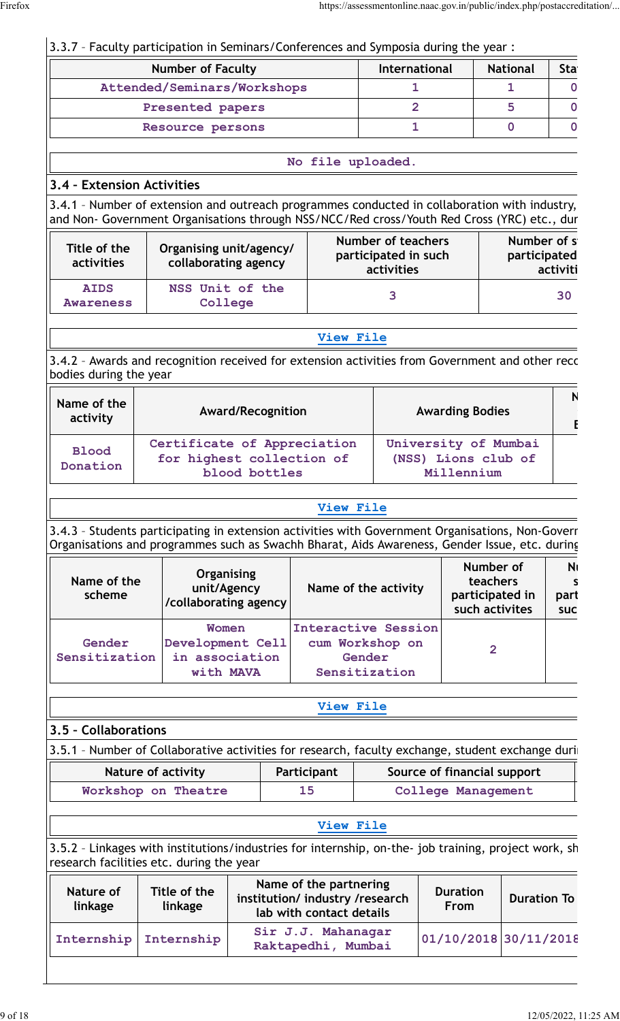# 3.3.7 – Faculty participation in Seminars/Conferences and Symposia during the year :

| <b>Number of Faculty</b>    | <b>International</b> | <b>National</b> | <b>Sta</b> |
|-----------------------------|----------------------|-----------------|------------|
| Attended/Seminars/Workshops |                      |                 |            |
| Presented papers            |                      |                 |            |
| Resource persons            |                      |                 |            |

#### **No file uploaded.**

# **3.4 – Extension Activities**

3.4.1 - Number of extension and outreach programmes conducted in collaboration with industry, and Non- Government Organisations through NSS/NCC/Red cross/Youth Red Cross (YRC) etc., dur

| Title of the<br>activities      | Organising unit/agency/<br>collaborating agency | Number of teachers<br>participated in such<br>activities | Number of s<br>participated<br>activiti |
|---------------------------------|-------------------------------------------------|----------------------------------------------------------|-----------------------------------------|
| <b>AIDS</b><br><b>Awareness</b> | NSS Unit of the<br>College                      |                                                          | 30                                      |

#### **[View File](https://assessmentonline.naac.gov.in/public/Postacc/Extension/21128_Extension_1652257773.xlsx)**

3.4.2 - Awards and recognition received for extension activities from Government and other reco bodies during the year

| Name of the<br>activity  | <b>Award/Recognition</b>                                                  | <b>Awarding Bodies</b>                                    |  |
|--------------------------|---------------------------------------------------------------------------|-----------------------------------------------------------|--|
| <b>Blood</b><br>Donation | Certificate of Appreciation<br>for highest collection of<br>blood bottles | University of Mumbai<br>(NSS) Lions club of<br>Millennium |  |

#### **[View File](https://assessmentonline.naac.gov.in/public/Postacc/Awards_for_extension/21128_Awards_for_extension_1652258046.xlsx)**

3.4.3 - Students participating in extension activities with Government Organisations, Non-Goverr Organisations and programmes such as Swachh Bharat, Aids Awareness, Gender Issue, etc. during

| Name of the<br>scheme   | <b>Organising</b><br>unit/Agency<br>/collaborating agency | Name of the activity                                                     | Number of<br>teachers<br>participated in<br>such activites | N<br>part<br><b>SUC</b> |
|-------------------------|-----------------------------------------------------------|--------------------------------------------------------------------------|------------------------------------------------------------|-------------------------|
| Gender<br>Sensitization | Women<br>Development Cell<br>in association<br>with MAVA  | <b>Interactive Session</b><br>cum Workshop on<br>Gender<br>Sensitization | 2                                                          |                         |

#### **[View File](https://assessmentonline.naac.gov.in/public/Postacc/Students_in_extension/21128_Students_in_extension_1652258217.xlsx)**

# **3.5 – Collaborations**

3.5.1 - Number of Collaborative activities for research, faculty exchange, student exchange during

| Nature of activity  | Participant | Source of financial support |
|---------------------|-------------|-----------------------------|
| Workshop on Theatre |             | <b>College Management</b>   |

## **[View File](https://assessmentonline.naac.gov.in/public/Postacc/Collab_activities/21128_Collab_activities_1652262598.xlsx)**

3.5.2 - Linkages with institutions/industries for internship, on-the- job training, project work, sh research facilities etc. during the year

| Nature of<br>linkage | Title of the<br>linkage | Name of the partnering<br>institution/ industry /research<br>lab with contact details | <b>Duration</b><br>From | <b>Duration To</b> |
|----------------------|-------------------------|---------------------------------------------------------------------------------------|-------------------------|--------------------|
|                      | Internship Internship   | Sir J.J. Mahanagar<br>Raktapedhi, Mumbai                                              | $01/10/2018$ 30/11/2018 |                    |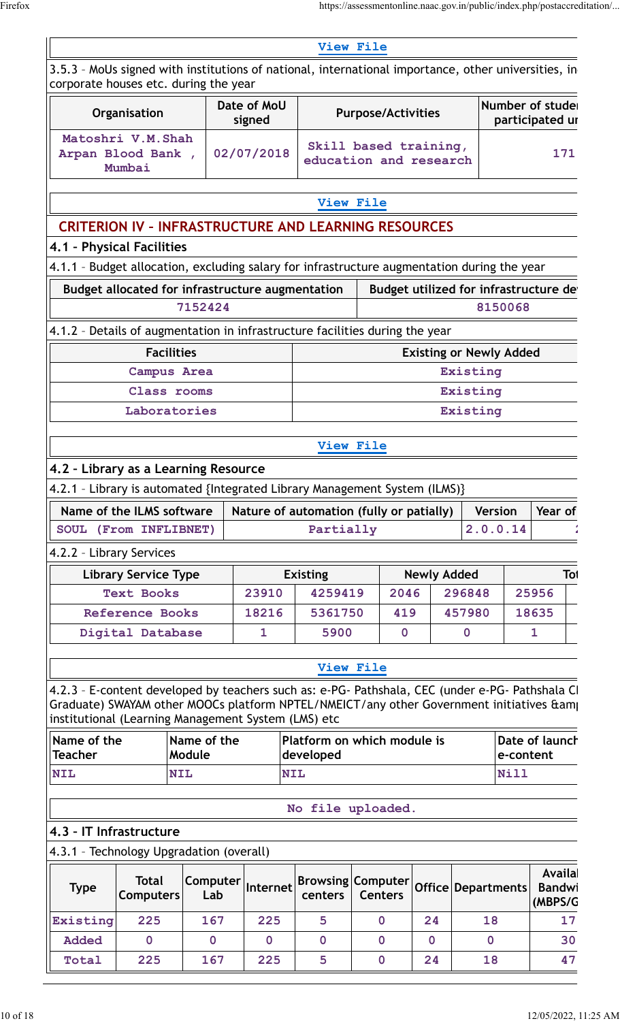|                                                             |                                                                                                                                                                                                                                                   |                       |                       |                           | View File                                       |                      |                                       |           |                                    |                |
|-------------------------------------------------------------|---------------------------------------------------------------------------------------------------------------------------------------------------------------------------------------------------------------------------------------------------|-----------------------|-----------------------|---------------------------|-------------------------------------------------|----------------------|---------------------------------------|-----------|------------------------------------|----------------|
|                                                             | 3.5.3 - MoUs signed with institutions of national, international importance, other universities, in<br>corporate houses etc. during the year                                                                                                      |                       |                       |                           |                                                 |                      |                                       |           |                                    |                |
|                                                             | Organisation                                                                                                                                                                                                                                      |                       | Date of MoU<br>signed | <b>Purpose/Activities</b> |                                                 |                      |                                       |           | Number of stude<br>participated ur |                |
|                                                             | Matoshri V.M.Shah<br>02/07/2018<br>Arpan Blood Bank,<br>Mumbai                                                                                                                                                                                    |                       |                       |                           | Skill based training,<br>education and research |                      |                                       |           |                                    | 171            |
|                                                             |                                                                                                                                                                                                                                                   |                       |                       |                           | View File                                       |                      |                                       |           |                                    |                |
|                                                             | <b>CRITERION IV - INFRASTRUCTURE AND LEARNING RESOURCES</b>                                                                                                                                                                                       |                       |                       |                           |                                                 |                      |                                       |           |                                    |                |
|                                                             | 4.1 - Physical Facilities                                                                                                                                                                                                                         |                       |                       |                           |                                                 |                      |                                       |           |                                    |                |
|                                                             | 4.1.1 - Budget allocation, excluding salary for infrastructure augmentation during the year                                                                                                                                                       |                       |                       |                           |                                                 |                      |                                       |           |                                    |                |
| Budget allocated for infrastructure augmentation<br>7152424 |                                                                                                                                                                                                                                                   |                       |                       |                           |                                                 |                      | Budget utilized for infrastructure de | 8150068   |                                    |                |
|                                                             | 4.1.2 - Details of augmentation in infrastructure facilities during the year                                                                                                                                                                      |                       |                       |                           |                                                 |                      |                                       |           |                                    |                |
|                                                             | <b>Facilities</b>                                                                                                                                                                                                                                 |                       |                       |                           |                                                 |                      | <b>Existing or Newly Added</b>        |           |                                    |                |
|                                                             | Campus Area                                                                                                                                                                                                                                       |                       |                       |                           |                                                 |                      | Existing                              |           |                                    |                |
| Class rooms                                                 |                                                                                                                                                                                                                                                   |                       |                       |                           |                                                 | Existing             |                                       |           |                                    |                |
| Laboratories                                                |                                                                                                                                                                                                                                                   |                       |                       |                           |                                                 | Existing             |                                       |           |                                    |                |
|                                                             |                                                                                                                                                                                                                                                   |                       |                       |                           | <b>View File</b>                                |                      |                                       |           |                                    |                |
|                                                             | 4.2 - Library as a Learning Resource                                                                                                                                                                                                              |                       |                       |                           |                                                 |                      |                                       |           |                                    |                |
|                                                             | 4.2.1 - Library is automated {Integrated Library Management System (ILMS)}                                                                                                                                                                        |                       |                       |                           |                                                 |                      |                                       |           |                                    |                |
|                                                             | Name of the ILMS software                                                                                                                                                                                                                         |                       |                       |                           | Nature of automation (fully or patially)        |                      | <b>Version</b>                        |           | Year of                            |                |
|                                                             | SOUL (From INFLIBNET)                                                                                                                                                                                                                             |                       |                       | Partially                 |                                                 |                      | 2.0.0.14                              |           |                                    |                |
| 4.2.2 - Library Services                                    |                                                                                                                                                                                                                                                   |                       |                       |                           |                                                 |                      |                                       |           |                                    |                |
|                                                             | <b>Library Service Type</b>                                                                                                                                                                                                                       |                       |                       | <b>Existing</b>           |                                                 | <b>Newly Added</b>   |                                       |           |                                    | Tot            |
|                                                             | <b>Text Books</b>                                                                                                                                                                                                                                 |                       | 23910                 | 4259419                   | 2046                                            |                      | 296848                                |           | 25956                              |                |
|                                                             |                                                                                                                                                                                                                                                   |                       |                       |                           |                                                 |                      |                                       |           |                                    |                |
|                                                             | <b>Reference Books</b>                                                                                                                                                                                                                            |                       | 18216                 | 5361750                   | 419                                             |                      | 457980                                |           | 18635                              |                |
|                                                             | Digital Database                                                                                                                                                                                                                                  |                       | 1                     | 5900                      | $\mathbf 0$                                     |                      | $\mathbf 0$                           |           | $\mathbf{1}$                       |                |
|                                                             |                                                                                                                                                                                                                                                   |                       |                       |                           | <b>View File</b>                                |                      |                                       |           |                                    |                |
|                                                             | 4.2.3 - E-content developed by teachers such as: e-PG- Pathshala, CEC (under e-PG- Pathshala CI<br>Graduate) SWAYAM other MOOCs platform NPTEL/NMEICT/any other Government initiatives &am<br>institutional (Learning Management System (LMS) etc |                       |                       |                           |                                                 |                      |                                       |           |                                    |                |
| Name of the<br><b>Teacher</b>                               |                                                                                                                                                                                                                                                   | Name of the<br>Module |                       | developed                 | Platform on which module is                     |                      |                                       | e-content | Date of launch                     |                |
|                                                             | <b>NIL</b>                                                                                                                                                                                                                                        |                       | <b>NIL</b>            |                           |                                                 |                      |                                       | Nill      |                                    |                |
| <b>NIL</b>                                                  |                                                                                                                                                                                                                                                   |                       |                       |                           | No file uploaded.                               |                      |                                       |           |                                    |                |
|                                                             | 4.3 - IT Infrastructure                                                                                                                                                                                                                           |                       |                       |                           |                                                 |                      |                                       |           |                                    |                |
|                                                             | 4.3.1 - Technology Upgradation (overall)                                                                                                                                                                                                          |                       |                       |                           |                                                 |                      |                                       |           |                                    |                |
| <b>Type</b>                                                 | <b>Total</b><br><b>Computers</b>                                                                                                                                                                                                                  | Computer<br>Lab       | Internet              | centers                   | <b>Browsing Computer</b><br><b>Centers</b>      |                      | Office Departments                    |           | <b>Availa</b><br>Bandwi<br>(MBPS/G |                |
|                                                             | 225                                                                                                                                                                                                                                               | 167                   | 225                   | 5                         | $\mathbf 0$                                     | 24                   | 18                                    |           |                                    |                |
| <b>Existing</b><br>Added<br>Total                           | $\overline{0}$<br>225                                                                                                                                                                                                                             | $\mathbf 0$<br>167    | $\overline{0}$<br>225 | $\mathbf 0$<br>5          | $\mathbf 0$<br>$\overline{\mathbf{0}}$          | $\overline{0}$<br>24 | $\mathbf 0$<br>18                     |           |                                    | 17<br>30<br>47 |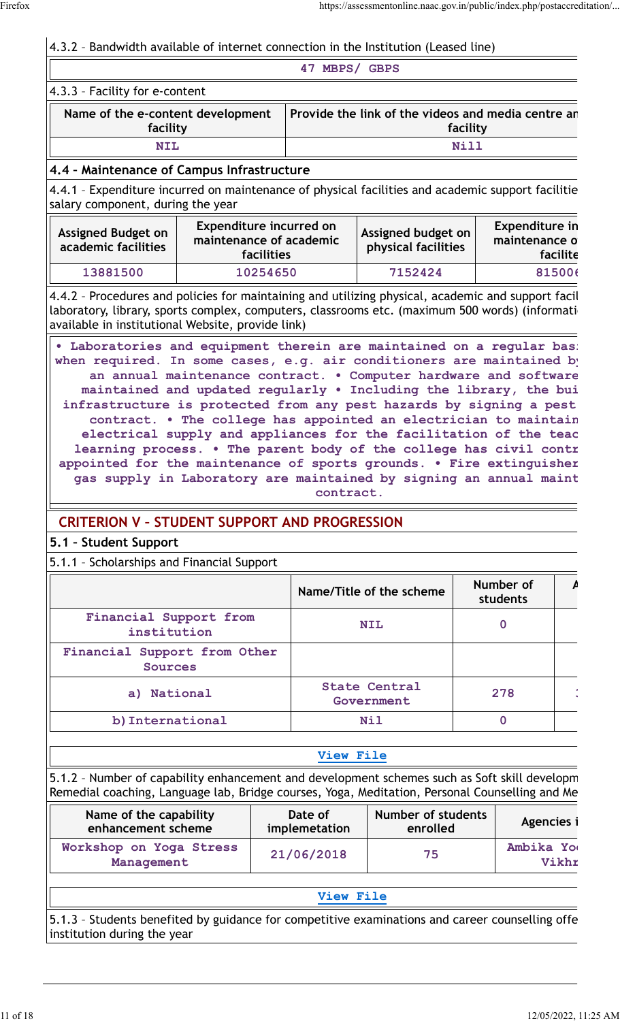# 4.3.2 – Bandwidth available of internet connection in the Institution (Leased line)

|                                               | MBPS/<br><b>GBPS</b><br>47                                     |  |  |  |
|-----------------------------------------------|----------------------------------------------------------------|--|--|--|
| $ 4.3.3$ - Facility for e-content             |                                                                |  |  |  |
| Name of the e-content development<br>facility | Provide the link of the videos and media centre ar<br>facility |  |  |  |
| <b>NIL</b>                                    | Nill                                                           |  |  |  |
| 4.4 - Maintenance of Campus Infrastructure    |                                                                |  |  |  |

## **4.4 – Maintenance of Campus Infrastructure**

4.4.1 - Expenditure incurred on maintenance of physical facilities and academic support facilitie salary component, during the year

| <b>Assigned Budget on</b><br>academic facilities | Expenditure incurred on<br>maintenance of academic<br>facilities | Assigned budget on<br>physical facilities | <b>Expenditure in</b><br>maintenance o<br>facilite |
|--------------------------------------------------|------------------------------------------------------------------|-------------------------------------------|----------------------------------------------------|
| 13881500                                         | 10254650                                                         | 7152424                                   | 815006                                             |

4.4.2 - Procedures and policies for maintaining and utilizing physical, academic and support facil laboratory, library, sports complex, computers, classrooms etc. (maximum 500 words) (informati available in institutional Website, provide link)

**• Laboratories and equipment therein are maintained on a regular bas:** when required. In some cases, e.g. air conditioners are maintained by **an annual maintenance contract. • Computer hardware and software are** maintained and updated regularly . Including the library, the bui infrastructure is protected from any pest hazards by signing a pest contract. • The college has appointed an electrician to maintain electrical supply and appliances for the facilitation of the teac learning process. . The parent body of the college has civil contr appointed for the maintenance of sports grounds. . Fire extinguisher gas supply in Laboratory are maintained by signing an annual maint **contract.**

# **CRITERION V – STUDENT SUPPORT AND PROGRESSION**

## **5.1 – Student Support**

5.1.1 – Scholarships and Financial Support

|                                                | Name/Title of the scheme    | Number of<br>students |  |
|------------------------------------------------|-----------------------------|-----------------------|--|
| Financial Support from<br>institution          | <b>NIL</b>                  |                       |  |
| Financial Support from Other<br><b>Sources</b> |                             |                       |  |
| a) National                                    | State Central<br>Government | 278                   |  |
| b) International                               | Nil                         |                       |  |

## **[View File](https://assessmentonline.naac.gov.in/public/Postacc/Scholarships/21128_Scholarships_1652264455.xlsx)**

5.1.2 - Number of capability enhancement and development schemes such as Soft skill developm Remedial coaching, Language lab, Bridge courses, Yoga, Meditation, Personal Counselling and Me

| Name of the capability                | Date of       | Number of students | Agencies i         |
|---------------------------------------|---------------|--------------------|--------------------|
| enhancement scheme                    | implemetation | enrolled           |                    |
| Workshop on Yoga Stress<br>Management | 21/06/2018    | 75                 | Ambika Yo<br>Vikhr |

#### **[View File](https://assessmentonline.naac.gov.in/public/Postacc/Development_Schemes/21128_Development_Schemes_1652264755.xlsx)**

5.1.3 - Students benefited by guidance for competitive examinations and career counselling offe institution during the year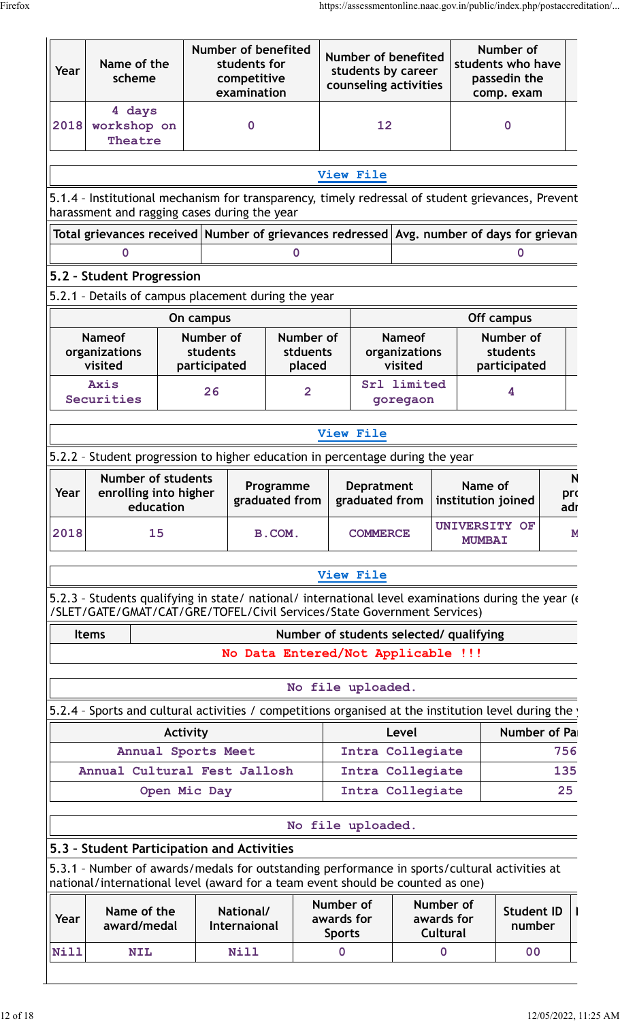| Year | Name of the<br>scheme                                                                                                                                                         |                                                                 | <b>Number of benefited</b><br>students for<br>competitive<br>examination |                                         |                  | Number of benefited<br>students by career<br>counseling activities |                                           |                         | Number of<br>students who have<br>passedin the<br>comp. exam |                                       |                            |
|------|-------------------------------------------------------------------------------------------------------------------------------------------------------------------------------|-----------------------------------------------------------------|--------------------------------------------------------------------------|-----------------------------------------|------------------|--------------------------------------------------------------------|-------------------------------------------|-------------------------|--------------------------------------------------------------|---------------------------------------|----------------------------|
| 2018 | 4 days<br>workshop on<br>Theatre                                                                                                                                              | $\mathbf 0$                                                     |                                                                          |                                         | 12               |                                                                    |                                           | $\mathbf 0$             |                                                              |                                       |                            |
|      |                                                                                                                                                                               |                                                                 |                                                                          |                                         |                  | View File                                                          |                                           |                         |                                                              |                                       |                            |
|      | 5.1.4 - Institutional mechanism for transparency, timely redressal of student grievances, Prevent                                                                             |                                                                 |                                                                          |                                         |                  |                                                                    |                                           |                         |                                                              |                                       |                            |
|      | harassment and ragging cases during the year                                                                                                                                  |                                                                 |                                                                          |                                         |                  |                                                                    |                                           |                         |                                                              |                                       |                            |
|      | Total grievances received Number of grievances redressed Avg. number of days for grievan<br>0                                                                                 |                                                                 |                                                                          | 0                                       |                  |                                                                    |                                           |                         |                                                              | 0                                     |                            |
|      | 5.2 - Student Progression                                                                                                                                                     |                                                                 |                                                                          |                                         |                  |                                                                    |                                           |                         |                                                              |                                       |                            |
|      | 5.2.1 - Details of campus placement during the year                                                                                                                           |                                                                 |                                                                          |                                         |                  |                                                                    |                                           |                         |                                                              |                                       |                            |
|      |                                                                                                                                                                               | On campus                                                       |                                                                          |                                         |                  |                                                                    |                                           |                         | Off campus                                                   |                                       |                            |
|      | <b>Nameof</b><br>organizations<br>visited                                                                                                                                     |                                                                 | Number of<br>students<br>participated                                    | Number of<br>stduents<br>placed         |                  |                                                                    | <b>Nameof</b><br>organizations<br>visited |                         |                                                              | Number of<br>students<br>participated |                            |
|      | Axis<br>Securities                                                                                                                                                            |                                                                 | 26                                                                       | $\overline{2}$                          |                  | Srl limited<br>goregaon                                            |                                           |                         | 4                                                            |                                       |                            |
|      |                                                                                                                                                                               |                                                                 |                                                                          |                                         |                  | View File                                                          |                                           |                         |                                                              |                                       |                            |
|      | 5.2.2 - Student progression to higher education in percentage during the year                                                                                                 |                                                                 |                                                                          |                                         |                  |                                                                    |                                           |                         |                                                              |                                       |                            |
| Year |                                                                                                                                                                               | <b>Number of students</b><br>enrolling into higher<br>education |                                                                          | Programme<br>graduated from             |                  | <b>Depratment</b><br>graduated from                                |                                           |                         | Name of<br>institution joined                                |                                       | $\mathsf{N}$<br>pro<br>adı |
| 2018 | 15                                                                                                                                                                            |                                                                 |                                                                          | B.COM.                                  |                  | <b>COMMERCE</b>                                                    | <b>UNIVERSITY OF</b><br><b>MUMBAI</b>     |                         |                                                              | N.                                    |                            |
|      |                                                                                                                                                                               |                                                                 |                                                                          |                                         |                  | View File                                                          |                                           |                         |                                                              |                                       |                            |
|      | 5.2.3 - Students qualifying in state/ national/ international level examinations during the year (<br>/SLET/GATE/GMAT/CAT/GRE/TOFEL/Civil Services/State Government Services) |                                                                 |                                                                          |                                         |                  |                                                                    |                                           |                         |                                                              |                                       |                            |
|      | <b>Items</b>                                                                                                                                                                  |                                                                 |                                                                          | Number of students selected/ qualifying |                  |                                                                    |                                           |                         |                                                              |                                       |                            |
|      |                                                                                                                                                                               |                                                                 |                                                                          | No Data Entered/Not Applicable !!!      |                  |                                                                    |                                           |                         |                                                              |                                       |                            |
|      |                                                                                                                                                                               |                                                                 |                                                                          |                                         |                  | No file uploaded.                                                  |                                           |                         |                                                              |                                       |                            |
|      | 5.2.4 - Sports and cultural activities / competitions organised at the institution level during the                                                                           |                                                                 |                                                                          |                                         |                  |                                                                    |                                           |                         |                                                              |                                       |                            |
|      |                                                                                                                                                                               | Activity                                                        |                                                                          |                                         |                  |                                                                    | Level                                     |                         |                                                              | Number of Pa                          |                            |
|      |                                                                                                                                                                               |                                                                 | Annual Sports Meet                                                       |                                         |                  | Intra Collegiate                                                   |                                           |                         | 756                                                          |                                       |                            |
|      | Annual Cultural Fest Jallosh                                                                                                                                                  |                                                                 |                                                                          |                                         | Intra Collegiate |                                                                    |                                           |                         | 135                                                          |                                       |                            |
|      |                                                                                                                                                                               | Open Mic Day                                                    |                                                                          |                                         |                  | Intra Collegiate                                                   |                                           |                         |                                                              |                                       | 25 <sub>2</sub>            |
|      |                                                                                                                                                                               |                                                                 |                                                                          |                                         |                  | No file uploaded.                                                  |                                           |                         |                                                              |                                       |                            |
|      | 5.3 - Student Participation and Activities<br>5.3.1 - Number of awards/medals for outstanding performance in sports/cultural activities at                                    |                                                                 |                                                                          |                                         |                  |                                                                    |                                           |                         |                                                              |                                       |                            |
|      | national/international level (award for a team event should be counted as one)<br>Name of the                                                                                 |                                                                 |                                                                          | National/<br>Internaional               |                  | Number of<br>awards for                                            |                                           | Number of<br>awards for |                                                              | <b>Student ID</b><br>number           |                            |
| Year | award/medal                                                                                                                                                                   |                                                                 |                                                                          |                                         | <b>Sports</b>    |                                                                    |                                           | <b>Cultural</b>         |                                                              |                                       |                            |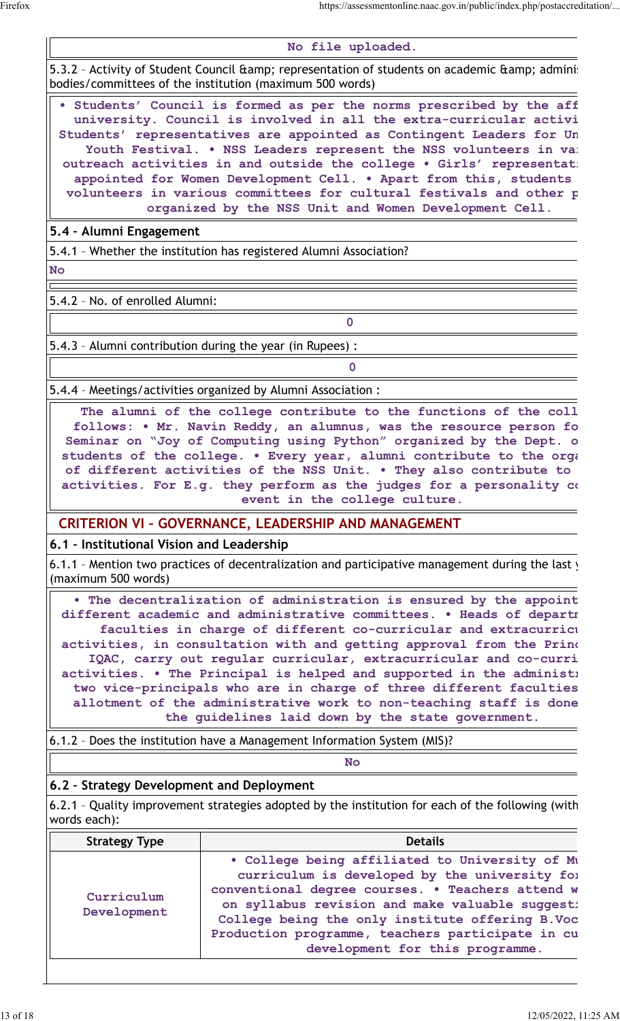**No file uploaded.**

5.3.2 - Activity of Student Council & amp; representation of students on academic & amp; administ bodies/committees of the institution (maximum 500 words)

**• Students' Council is formed as per the norms prescribed by the affiliating** university. Council is involved in all the extra-curricular activi Students' representatives are appointed as Contingent Leaders for Un Youth Festival. . NSS Leaders represent the NSS volunteers in various. outreach activities in and outside the college . Girls' representat: appointed for Women Development Cell. . Apart from this, students volunteers in various committees for cultural festivals and other p **organized by the NSS Unit and Women Development Cell.**

**5.4 – Alumni Engagement**

5.4.1 – Whether the institution has registered Alumni Association?

**No**

5.4.2 – No. of enrolled Alumni:

5.4.3 – Alumni contribution during the year (in Rupees) :

5.4.4 – Meetings/activities organized by Alumni Association :

The alumni of the college contribute to the functions of the coll follows: • Mr. Navin Reddy, an alumnus, was the resource person fo Seminar on "Joy of Computing using Python" organized by the Dept. o students of the college. . Every year, alumni contribute to the organization of different activities of the NSS Unit. . They also contribute to activities. For E.g. they perform as the judges for a personality  $\alpha$ **event in the college culture.**

**0**

**0**

#### **CRITERION VI – GOVERNANCE, LEADERSHIP AND MANAGEMENT**

#### **6.1 – Institutional Vision and Leadership**

6.1.1 - Mention two practices of decentralization and participative management during the last  $y$ (maximum 500 words)

• The decentralization of administration is ensured by the appoint **different academic and administrative committees. • Heads of departments and faculties in charge of different co-curricular and extracurricular activities, in consultation with and getting approval from the Principal and IQAC, carry out regular curricular, extracurricular and co-curri** activities. • The Principal is helped and supported in the administi two vice-principals who are in charge of three different faculties allotment of the administrative work to non-teaching staff is done **the guidelines laid down by the state government.**

6.1.2 – Does the institution have a Management Information System (MIS)?

**No**

## **6.2 – Strategy Development and Deployment**

6.2.1 - Quality improvement strategies adopted by the institution for each of the following (with words each):

| <b>Strategy Type</b>      | <b>Details</b>                                                                                                                                                                                                                                                                                                                                    |  |  |  |  |  |
|---------------------------|---------------------------------------------------------------------------------------------------------------------------------------------------------------------------------------------------------------------------------------------------------------------------------------------------------------------------------------------------|--|--|--|--|--|
| Curriculum<br>Development | . College being affiliated to University of Mu<br>curriculum is developed by the university for<br>conventional degree courses. . Teachers attend w<br>on syllabus revision and make valuable suggest:<br>College being the only institute offering B. Voc<br>Production programme, teachers participate in cu<br>development for this programme. |  |  |  |  |  |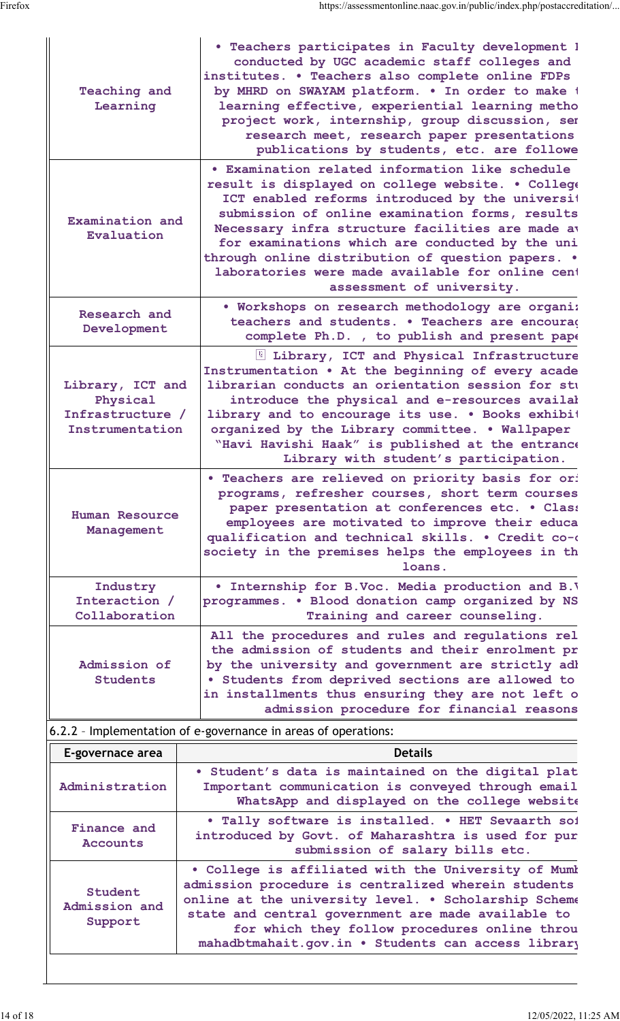| <b>Teaching and</b><br>Learning                                     | . Teachers participates in Faculty development 1<br>conducted by UGC academic staff colleges and<br>institutes. . Teachers also complete online FDPs<br>by MHRD on SWAYAM platform. . In order to make t<br>learning effective, experiential learning metho<br>project work, internship, group discussion, ser<br>research meet, research paper presentations<br>publications by students, etc. are followe                                             |
|---------------------------------------------------------------------|---------------------------------------------------------------------------------------------------------------------------------------------------------------------------------------------------------------------------------------------------------------------------------------------------------------------------------------------------------------------------------------------------------------------------------------------------------|
| Examination and<br>Evaluation                                       | • Examination related information like schedule<br>result is displayed on college website. . College<br>ICT enabled reforms introduced by the universit<br>submission of online examination forms, results<br>Necessary infra structure facilities are made av<br>for examinations which are conducted by the uni<br>through online distribution of question papers. .<br>laboratories were made available for online cent<br>assessment of university. |
| Research and<br>Development                                         | . Workshops on research methodology are organi:<br>teachers and students. . Teachers are encourad<br>complete Ph.D., to publish and present pape                                                                                                                                                                                                                                                                                                        |
| Library, ICT and<br>Physical<br>Infrastructure /<br>Instrumentation | I Library, ICT and Physical Infrastructure<br>Instrumentation . At the beginning of every acade<br>librarian conducts an orientation session for stu<br>introduce the physical and e-resources availal<br>library and to encourage its use. . Books exhibit<br>organized by the Library committee. . Wallpaper<br>"Havi Havishi Haak" is published at the entrance<br>Library with student's participation.                                             |
| Human Resource<br>Management                                        | . Teachers are relieved on priority basis for or:<br>programs, refresher courses, short term courses<br>paper presentation at conferences etc. . Class<br>employees are motivated to improve their educa<br>qualification and technical skills. . Credit co-o<br>society in the premises helps the employees in th<br>loans.                                                                                                                            |
| Industry<br>Interaction /<br>Collaboration                          | . Internship for B.Voc. Media production and B.V<br>programmes. . Blood donation camp organized by NS<br>Training and career counseling.                                                                                                                                                                                                                                                                                                                |
| Admission of<br>Students                                            | All the procedures and rules and regulations rel<br>the admission of students and their enrolment pr<br>by the university and government are strictly adl<br>· Students from deprived sections are allowed to<br>in installments thus ensuring they are not left o<br>admission procedure for financial reasons                                                                                                                                         |
|                                                                     |                                                                                                                                                                                                                                                                                                                                                                                                                                                         |

## 6.2.2 – Implementation of e-governance in areas of operations:

| E-governace area                    | <b>Details</b>                                                                                                                                                                                                                                                                                                                  |
|-------------------------------------|---------------------------------------------------------------------------------------------------------------------------------------------------------------------------------------------------------------------------------------------------------------------------------------------------------------------------------|
| Administration                      | . Student's data is maintained on the digital plat<br>Important communication is conveyed through email<br>WhatsApp and displayed on the college website                                                                                                                                                                        |
| Finance and<br><b>Accounts</b>      | . Tally software is installed. . HET Sevaarth sof<br>introduced by Govt. of Maharashtra is used for pur<br>submission of salary bills etc.                                                                                                                                                                                      |
| Student<br>Admission and<br>Support | . College is affiliated with the University of Mumb<br>admission procedure is centralized wherein students<br>online at the university level. . Scholarship Scheme<br>state and central government are made available to<br>for which they follow procedures online throu<br>mahadbtmahait.gov.in . Students can access library |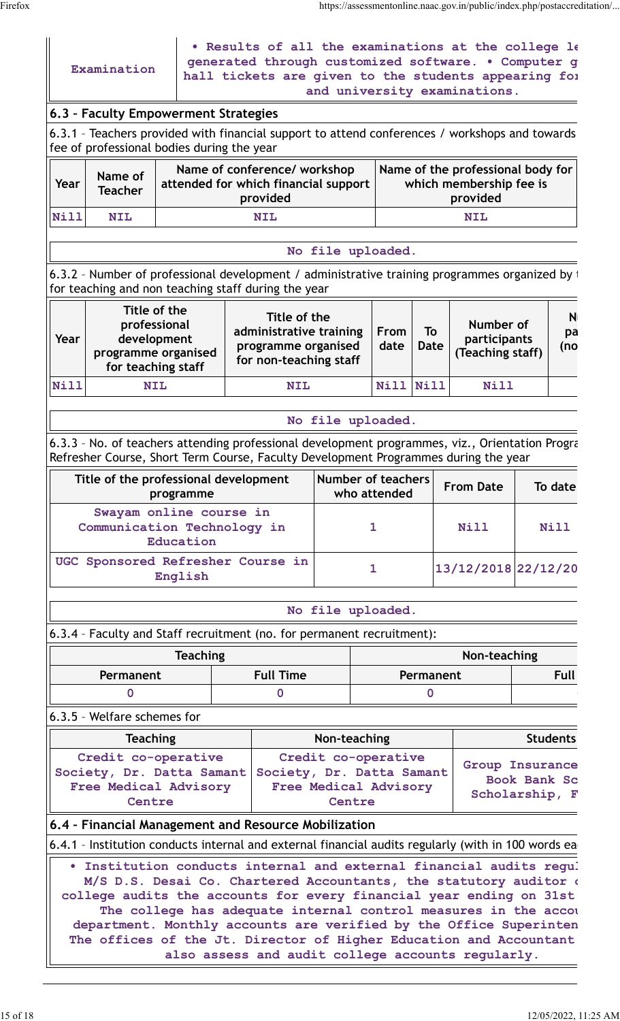|             |                                                                                          | 6.3 - Faculty Empowerment Strategies                                                                                                                                                                       | 6.3.1 - Teachers provided with financial support to attend conferences / workshops and towards                                                                                         | and university examinations.                                                                               |              |             |                                               |                                   |              |                 |
|-------------|------------------------------------------------------------------------------------------|------------------------------------------------------------------------------------------------------------------------------------------------------------------------------------------------------------|----------------------------------------------------------------------------------------------------------------------------------------------------------------------------------------|------------------------------------------------------------------------------------------------------------|--------------|-------------|-----------------------------------------------|-----------------------------------|--------------|-----------------|
| Year        | Name of<br><b>Teacher</b>                                                                | fee of professional bodies during the year<br>Name of conference/ workshop<br>Name of the professional body for<br>attended for which financial support<br>which membership fee is<br>provided<br>provided |                                                                                                                                                                                        |                                                                                                            |              |             |                                               |                                   |              |                 |
| <b>Nill</b> | <b>NIL</b>                                                                               |                                                                                                                                                                                                            |                                                                                                                                                                                        |                                                                                                            |              |             | <b>NIL</b>                                    |                                   |              |                 |
|             |                                                                                          |                                                                                                                                                                                                            |                                                                                                                                                                                        | No file uploaded.                                                                                          |              |             |                                               |                                   |              |                 |
|             |                                                                                          |                                                                                                                                                                                                            | 6.3.2 - Number of professional development / administrative training programmes organized by t<br>for teaching and non teaching staff during the year                                  |                                                                                                            |              |             |                                               |                                   |              |                 |
| Year        | Title of the<br>professional<br>development<br>programme organised<br>for teaching staff | Title of the<br>administrative training<br>programme organised<br>for non-teaching staff                                                                                                                   |                                                                                                                                                                                        | From<br>date                                                                                               | To<br>Date   |             | Number of<br>participants<br>(Teaching staff) | N<br>pa<br>(no                    |              |                 |
| <b>Nill</b> |                                                                                          | <b>NIL</b>                                                                                                                                                                                                 | <b>NIL</b>                                                                                                                                                                             |                                                                                                            | <b>Nill</b>  | <b>Nill</b> |                                               | Nill                              |              |                 |
|             |                                                                                          |                                                                                                                                                                                                            |                                                                                                                                                                                        | No file uploaded.                                                                                          |              |             |                                               |                                   |              |                 |
|             |                                                                                          |                                                                                                                                                                                                            | 6.3.3 - No. of teachers attending professional development programmes, viz., Orientation Progra<br>Refresher Course, Short Term Course, Faculty Development Programmes during the year |                                                                                                            |              |             |                                               |                                   |              |                 |
|             |                                                                                          | Title of the professional development<br>programme                                                                                                                                                         |                                                                                                                                                                                        | <b>Number of teachers</b><br>who attended                                                                  |              |             |                                               | <b>From Date</b>                  |              | To date         |
|             |                                                                                          | Swayam online course in<br>Communication Technology in<br>Education                                                                                                                                        |                                                                                                                                                                                        |                                                                                                            | 1            |             |                                               | <b>Nill</b>                       |              | Nill            |
|             |                                                                                          | English                                                                                                                                                                                                    | UGC Sponsored Refresher Course in                                                                                                                                                      |                                                                                                            | $\mathbf{1}$ |             |                                               | 13/12/2018 22/12/20               |              |                 |
|             |                                                                                          |                                                                                                                                                                                                            |                                                                                                                                                                                        | No file uploaded.                                                                                          |              |             |                                               |                                   |              |                 |
|             |                                                                                          |                                                                                                                                                                                                            | 6.3.4 - Faculty and Staff recruitment (no. for permanent recruitment):                                                                                                                 |                                                                                                            |              |             |                                               |                                   |              |                 |
|             |                                                                                          | <b>Teaching</b>                                                                                                                                                                                            |                                                                                                                                                                                        |                                                                                                            |              |             |                                               | Non-teaching                      |              |                 |
|             | Permanent                                                                                |                                                                                                                                                                                                            | <b>Full Time</b>                                                                                                                                                                       | Permanent                                                                                                  |              |             |                                               | <b>Full</b>                       |              |                 |
|             | 0                                                                                        |                                                                                                                                                                                                            | 0                                                                                                                                                                                      |                                                                                                            |              | $\mathbf 0$ |                                               |                                   |              |                 |
|             | 6.3.5 - Welfare schemes for                                                              |                                                                                                                                                                                                            |                                                                                                                                                                                        |                                                                                                            |              |             |                                               |                                   |              |                 |
|             | <b>Teaching</b><br>Centre                                                                | Credit co-operative<br>Society, Dr. Datta Samant<br>Free Medical Advisory                                                                                                                                  |                                                                                                                                                                                        | Non-teaching<br>Credit co-operative<br>Society, Dr. Datta Samant<br><b>Free Medical Advisory</b><br>Centre |              |             |                                               | Group Insurance<br>Scholarship, F | Book Bank Sc | <b>Students</b> |
|             |                                                                                          |                                                                                                                                                                                                            | 6.4 - Financial Management and Resource Mobilization                                                                                                                                   |                                                                                                            |              |             |                                               |                                   |              |                 |
|             |                                                                                          |                                                                                                                                                                                                            |                                                                                                                                                                                        |                                                                                                            |              |             |                                               |                                   |              |                 |
|             |                                                                                          |                                                                                                                                                                                                            | 6.4.1 - Institution conducts internal and external financial audits regularly (with in 100 words ea<br>. Institution conducts internal and external financial audits regul             |                                                                                                            |              |             |                                               |                                   |              |                 |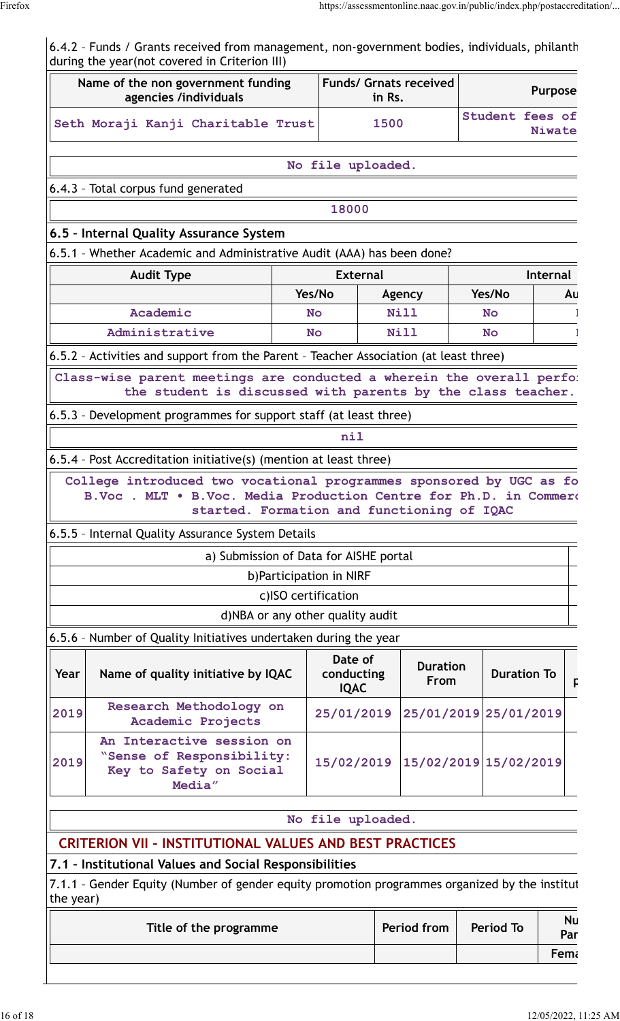6.4.2 - Funds / Grants received from management, non-government bodies, individuals, philanth during the year(not covered in Criterion III) **Name of the non government funding agencies /individuals Funds/ Grnats received in Rs. Purpose**

|           | ugununu mamalada                                                                                                                                                                      |  |                                      |                                |             |  |                       |                  |
|-----------|---------------------------------------------------------------------------------------------------------------------------------------------------------------------------------------|--|--------------------------------------|--------------------------------|-------------|--|-----------------------|------------------|
|           | Seth Moraji Kanji Charitable Trust                                                                                                                                                    |  |                                      | 1500                           |             |  | Student fees of       | <b>Niwate</b>    |
|           |                                                                                                                                                                                       |  | No file uploaded.                    |                                |             |  |                       |                  |
|           | 6.4.3 - Total corpus fund generated                                                                                                                                                   |  |                                      |                                |             |  |                       |                  |
|           |                                                                                                                                                                                       |  | 18000                                |                                |             |  |                       |                  |
|           | 6.5 - Internal Quality Assurance System                                                                                                                                               |  |                                      |                                |             |  |                       |                  |
|           | 6.5.1 - Whether Academic and Administrative Audit (AAA) has been done?                                                                                                                |  |                                      |                                |             |  |                       |                  |
|           | <b>Audit Type</b>                                                                                                                                                                     |  | <b>External</b>                      |                                |             |  |                       | <b>Internal</b>  |
|           |                                                                                                                                                                                       |  | Yes/No                               |                                | Agency      |  | Yes/No                | Au               |
|           | Academic                                                                                                                                                                              |  | <b>No</b>                            |                                | <b>Nill</b> |  | <b>No</b>             |                  |
|           | Administrative                                                                                                                                                                        |  | <b>No</b>                            |                                | <b>Nill</b> |  | <b>No</b>             |                  |
|           | 6.5.2 - Activities and support from the Parent - Teacher Association (at least three)                                                                                                 |  |                                      |                                |             |  |                       |                  |
|           | Class-wise parent meetings are conducted a wherein the overall perfor<br>the student is discussed with parents by the class teacher.                                                  |  |                                      |                                |             |  |                       |                  |
|           | 6.5.3 - Development programmes for support staff (at least three)                                                                                                                     |  |                                      |                                |             |  |                       |                  |
|           |                                                                                                                                                                                       |  | nil                                  |                                |             |  |                       |                  |
|           | 6.5.4 - Post Accreditation initiative(s) (mention at least three)                                                                                                                     |  |                                      |                                |             |  |                       |                  |
|           | College introduced two vocational programmes sponsored by UGC as fo<br>B.Voc. MLT . B.Voc. Media Production Centre for Ph.D. in Commero<br>started. Formation and functioning of IQAC |  |                                      |                                |             |  |                       |                  |
|           | 6.5.5 - Internal Quality Assurance System Details                                                                                                                                     |  |                                      |                                |             |  |                       |                  |
|           | a) Submission of Data for AISHE portal                                                                                                                                                |  |                                      |                                |             |  |                       |                  |
|           |                                                                                                                                                                                       |  | b) Participation in NIRF             |                                |             |  |                       |                  |
|           |                                                                                                                                                                                       |  | c)ISO certification                  |                                |             |  |                       |                  |
|           |                                                                                                                                                                                       |  | d)NBA or any other quality audit     |                                |             |  |                       |                  |
|           | 6.5.6 - Number of Quality Initiatives undertaken during the year                                                                                                                      |  |                                      |                                |             |  |                       |                  |
| Year      | Name of quality initiative by IQAC                                                                                                                                                    |  | Date of<br>conducting<br><b>IQAC</b> | <b>Duration</b><br><b>From</b> |             |  | <b>Duration To</b>    |                  |
| 2019      | Research Methodology on<br>Academic Projects                                                                                                                                          |  | 25/01/2019                           |                                |             |  | 25/01/2019 25/01/2019 |                  |
| 2019      | An Interactive session on<br>"Sense of Responsibility:<br>15/02/2019 15/02/2019<br>15/02/2019<br>Key to Safety on Social<br>Media"                                                    |  |                                      |                                |             |  |                       |                  |
|           |                                                                                                                                                                                       |  |                                      |                                |             |  |                       |                  |
|           |                                                                                                                                                                                       |  | No file uploaded.                    |                                |             |  |                       |                  |
|           | <b>CRITERION VII - INSTITUTIONAL VALUES AND BEST PRACTICES</b>                                                                                                                        |  |                                      |                                |             |  |                       |                  |
|           | 7.1 - Institutional Values and Social Responsibilities                                                                                                                                |  |                                      |                                |             |  |                       |                  |
| the year) | 7.1.1 - Gender Equity (Number of gender equity promotion programmes organized by the institut                                                                                         |  |                                      |                                |             |  |                       |                  |
|           | Title of the programme                                                                                                                                                                |  |                                      |                                | Period from |  | <b>Period To</b>      | <b>Nu</b><br>Par |

**Female**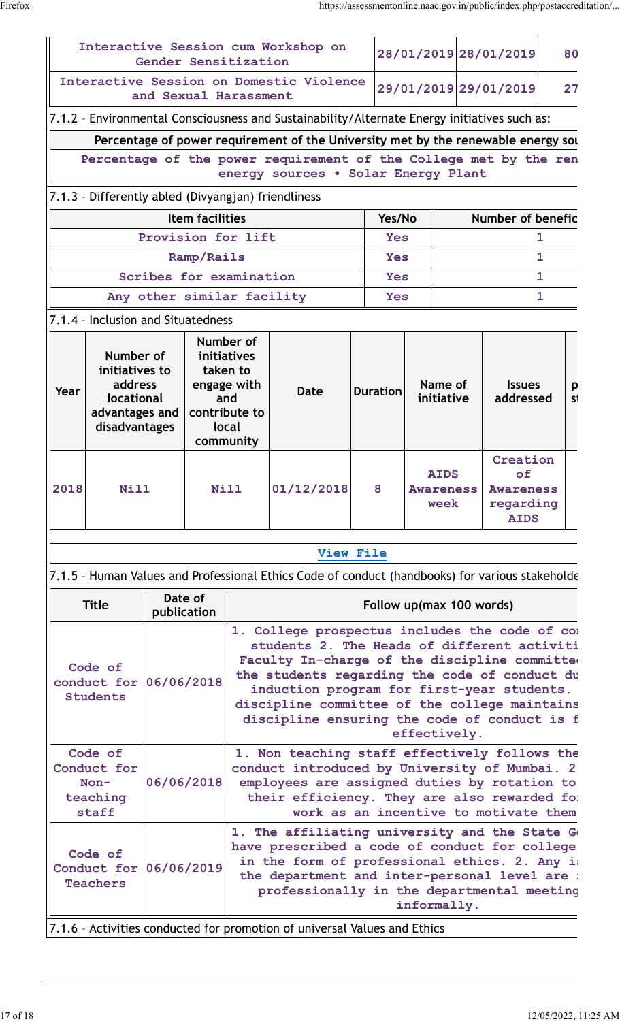|                                                                                                                                       |                                                     |             | Gender Sensitization                                  |                                                                                                                                                                                                                                                                                                                                                                | Interactive Session cum Workshop on                                                                                                                                                                                                           |                             |                                                                                                                                                                                                                                         |                                         | 28/01/2019 28/01/2019                                          | 80      |  |  |
|---------------------------------------------------------------------------------------------------------------------------------------|-----------------------------------------------------|-------------|-------------------------------------------------------|----------------------------------------------------------------------------------------------------------------------------------------------------------------------------------------------------------------------------------------------------------------------------------------------------------------------------------------------------------------|-----------------------------------------------------------------------------------------------------------------------------------------------------------------------------------------------------------------------------------------------|-----------------------------|-----------------------------------------------------------------------------------------------------------------------------------------------------------------------------------------------------------------------------------------|-----------------------------------------|----------------------------------------------------------------|---------|--|--|
| Interactive Session on Domestic Violence<br>and Sexual Harassment                                                                     |                                                     |             |                                                       |                                                                                                                                                                                                                                                                                                                                                                |                                                                                                                                                                                                                                               | 29/01/2019 29/01/2019<br>27 |                                                                                                                                                                                                                                         |                                         |                                                                |         |  |  |
|                                                                                                                                       |                                                     |             |                                                       |                                                                                                                                                                                                                                                                                                                                                                | 7.1.2 - Environmental Consciousness and Sustainability/Alternate Energy initiatives such as:                                                                                                                                                  |                             |                                                                                                                                                                                                                                         |                                         |                                                                |         |  |  |
|                                                                                                                                       |                                                     |             |                                                       |                                                                                                                                                                                                                                                                                                                                                                | Percentage of power requirement of the University met by the renewable energy sou                                                                                                                                                             |                             |                                                                                                                                                                                                                                         |                                         |                                                                |         |  |  |
|                                                                                                                                       |                                                     |             |                                                       |                                                                                                                                                                                                                                                                                                                                                                | Percentage of the power requirement of the College met by the ren<br>energy sources . Solar Energy Plant                                                                                                                                      |                             |                                                                                                                                                                                                                                         |                                         |                                                                |         |  |  |
|                                                                                                                                       | 7.1.3 - Differently abled (Divyangjan) friendliness |             |                                                       |                                                                                                                                                                                                                                                                                                                                                                |                                                                                                                                                                                                                                               |                             |                                                                                                                                                                                                                                         |                                         |                                                                |         |  |  |
| Item facilities                                                                                                                       |                                                     |             |                                                       |                                                                                                                                                                                                                                                                                                                                                                |                                                                                                                                                                                                                                               |                             | Yes/No                                                                                                                                                                                                                                  |                                         | <b>Number of benefic</b>                                       |         |  |  |
|                                                                                                                                       |                                                     |             | Provision for lift                                    |                                                                                                                                                                                                                                                                                                                                                                |                                                                                                                                                                                                                                               | <b>Yes</b>                  |                                                                                                                                                                                                                                         |                                         | 1.                                                             |         |  |  |
|                                                                                                                                       |                                                     |             | Ramp/Rails                                            |                                                                                                                                                                                                                                                                                                                                                                |                                                                                                                                                                                                                                               | <b>Yes</b>                  |                                                                                                                                                                                                                                         |                                         | 1                                                              |         |  |  |
|                                                                                                                                       |                                                     |             | Scribes for examination<br>Any other similar facility |                                                                                                                                                                                                                                                                                                                                                                |                                                                                                                                                                                                                                               | <b>Yes</b><br><b>Yes</b>    |                                                                                                                                                                                                                                         |                                         | $\mathbf{1}$<br>1                                              |         |  |  |
|                                                                                                                                       |                                                     |             |                                                       |                                                                                                                                                                                                                                                                                                                                                                |                                                                                                                                                                                                                                               |                             |                                                                                                                                                                                                                                         |                                         |                                                                |         |  |  |
| 7.1.4 - Inclusion and Situatedness<br>Number of<br>initiatives to<br>address<br>Year<br>locational<br>advantages and<br>disadvantages |                                                     |             |                                                       | Number of<br>initiatives<br>taken to<br>engage with<br>and<br>contribute to<br>local<br>community                                                                                                                                                                                                                                                              | Date                                                                                                                                                                                                                                          | <b>Duration</b>             |                                                                                                                                                                                                                                         | Name of<br>initiative                   | <b>Issues</b><br>addressed                                     | p<br>S' |  |  |
| 2018                                                                                                                                  |                                                     | <b>Nill</b> |                                                       | <b>Nill</b>                                                                                                                                                                                                                                                                                                                                                    | 01/12/2018                                                                                                                                                                                                                                    | 8                           |                                                                                                                                                                                                                                         | <b>AIDS</b><br><b>Awareness</b><br>week | Creation<br>of<br><b>Awareness</b><br>regarding<br><b>AIDS</b> |         |  |  |
|                                                                                                                                       |                                                     |             |                                                       |                                                                                                                                                                                                                                                                                                                                                                |                                                                                                                                                                                                                                               | <b>View File</b>            |                                                                                                                                                                                                                                         |                                         |                                                                |         |  |  |
|                                                                                                                                       |                                                     |             |                                                       |                                                                                                                                                                                                                                                                                                                                                                | 7.1.5 - Human Values and Professional Ethics Code of conduct (handbooks) for various stakeholde                                                                                                                                               |                             |                                                                                                                                                                                                                                         |                                         |                                                                |         |  |  |
| Date of<br><b>Title</b><br>publication                                                                                                |                                                     |             | Follow up(max 100 words)                              |                                                                                                                                                                                                                                                                                                                                                                |                                                                                                                                                                                                                                               |                             |                                                                                                                                                                                                                                         |                                         |                                                                |         |  |  |
|                                                                                                                                       | Code of<br>conduct for<br><b>Students</b>           |             | 06/06/2018                                            | 1. College prospectus includes the code of co:<br>students 2. The Heads of different activiti<br>Faculty In-charge of the discipline committed<br>the students regarding the code of conduct du<br>induction program for first-year students.<br>discipline committee of the college maintains<br>discipline ensuring the code of conduct is f<br>effectively. |                                                                                                                                                                                                                                               |                             |                                                                                                                                                                                                                                         |                                         |                                                                |         |  |  |
| Code of<br>Conduct for<br>$Non-$<br>teaching<br>staff                                                                                 |                                                     |             | 06/06/2018                                            |                                                                                                                                                                                                                                                                                                                                                                |                                                                                                                                                                                                                                               |                             | 1. Non teaching staff effectively follows the<br>conduct introduced by University of Mumbai. 2<br>employees are assigned duties by rotation to<br>their efficiency. They are also rewarded for<br>work as an incentive to motivate them |                                         |                                                                |         |  |  |
|                                                                                                                                       | Code of<br>Conduct for<br><b>Teachers</b>           |             | 06/06/2019                                            |                                                                                                                                                                                                                                                                                                                                                                | 1. The affiliating university and the State G<br>have prescribed a code of conduct for college<br>in the form of professional ethics. 2. Any i<br>the department and inter-personal level are :<br>professionally in the departmental meeting |                             |                                                                                                                                                                                                                                         | informally.                             |                                                                |         |  |  |